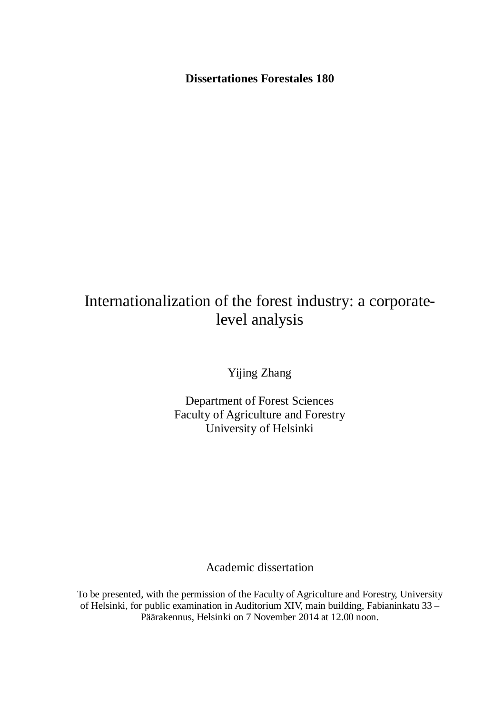**Dissertationes Forestales 180**

# Internationalization of the forest industry: a corporatelevel analysis

Yijing Zhang

Department of Forest Sciences Faculty of Agriculture and Forestry University of Helsinki

Academic dissertation

To be presented, with the permission of the Faculty of Agriculture and Forestry, University of Helsinki, for public examination in Auditorium XIV, main building, Fabianinkatu 33 – Päärakennus, Helsinki on 7 November 2014 at 12.00 noon.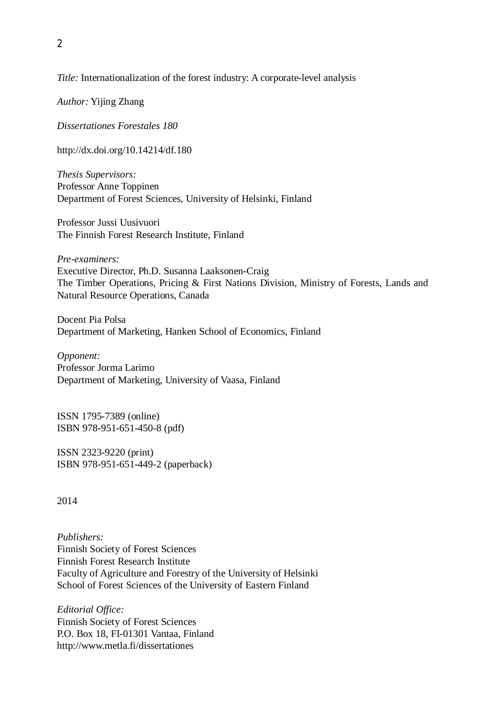#### *Title:* Internationalization of the forest industry: A corporate-level analysis

*Author:* Yijing Zhang

*Dissertationes Forestales 180*

http://dx.doi.org/10.14214/df.180

*Thesis Supervisors:* Professor Anne Toppinen Department of Forest Sciences, University of Helsinki, Finland

Professor Jussi Uusivuori The Finnish Forest Research Institute, Finland

*Pre-examiners:* Executive Director, Ph.D. Susanna Laaksonen-Craig The Timber Operations, Pricing & First Nations Division, Ministry of Forests, Lands and Natural Resource Operations, Canada

Docent Pia Polsa Department of Marketing, Hanken School of Economics, Finland

*Opponent:* Professor Jorma Larimo Department of Marketing, University of Vaasa, Finland

ISSN 1795-7389 (online) ISBN 978-951-651-450-8 (pdf)

ISSN 2323-9220 (print) ISBN 978-951-651-449-2 (paperback)

2014

*Publishers:* Finnish Society of Forest Sciences Finnish Forest Research Institute Faculty of Agriculture and Forestry of the University of Helsinki School of Forest Sciences of the University of Eastern Finland

*Editorial Office:* Finnish Society of Forest Sciences P.O. Box 18, FI-01301 Vantaa, Finland http://www.metla.fi/dissertationes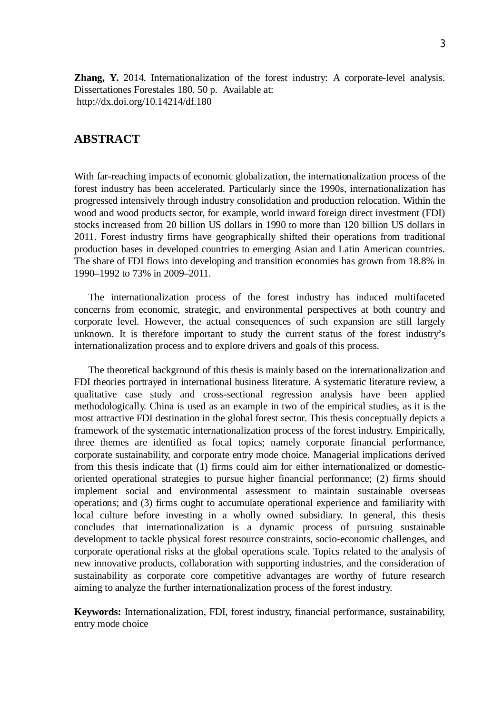**Zhang, Y.** 2014. Internationalization of the forest industry: A corporate-level analysis. Dissertationes Forestales 180. 50 p. Available at: http://dx.doi.org/10.14214/df.180

# **ABSTRACT**

With far-reaching impacts of economic globalization, the internationalization process of the forest industry has been accelerated. Particularly since the 1990s, internationalization has progressed intensively through industry consolidation and production relocation. Within the wood and wood products sector, for example, world inward foreign direct investment (FDI) stocks increased from 20 billion US dollars in 1990 to more than 120 billion US dollars in 2011. Forest industry firms have geographically shifted their operations from traditional production bases in developed countries to emerging Asian and Latin American countries. The share of FDI flows into developing and transition economies has grown from 18.8% in 1990–1992 to 73% in 2009–2011.

The internationalization process of the forest industry has induced multifaceted concerns from economic, strategic, and environmental perspectives at both country and corporate level. However, the actual consequences of such expansion are still largely unknown. It is therefore important to study the current status of the forest industry's internationalization process and to explore drivers and goals of this process.

The theoretical background of this thesis is mainly based on the internationalization and FDI theories portrayed in international business literature. A systematic literature review, a qualitative case study and cross-sectional regression analysis have been applied methodologically. China is used as an example in two of the empirical studies, as it is the most attractive FDI destination in the global forest sector. This thesis conceptually depicts a framework of the systematic internationalization process of the forest industry. Empirically, three themes are identified as focal topics; namely corporate financial performance, corporate sustainability, and corporate entry mode choice. Managerial implications derived from this thesis indicate that (1) firms could aim for either internationalized or domesticoriented operational strategies to pursue higher financial performance; (2) firms should implement social and environmental assessment to maintain sustainable overseas operations; and (3) firms ought to accumulate operational experience and familiarity with local culture before investing in a wholly owned subsidiary. In general, this thesis concludes that internationalization is a dynamic process of pursuing sustainable development to tackle physical forest resource constraints, socio-economic challenges, and corporate operational risks at the global operations scale. Topics related to the analysis of new innovative products, collaboration with supporting industries, and the consideration of sustainability as corporate core competitive advantages are worthy of future research aiming to analyze the further internationalization process of the forest industry.

**Keywords:** Internationalization, FDI, forest industry, financial performance, sustainability, entry mode choice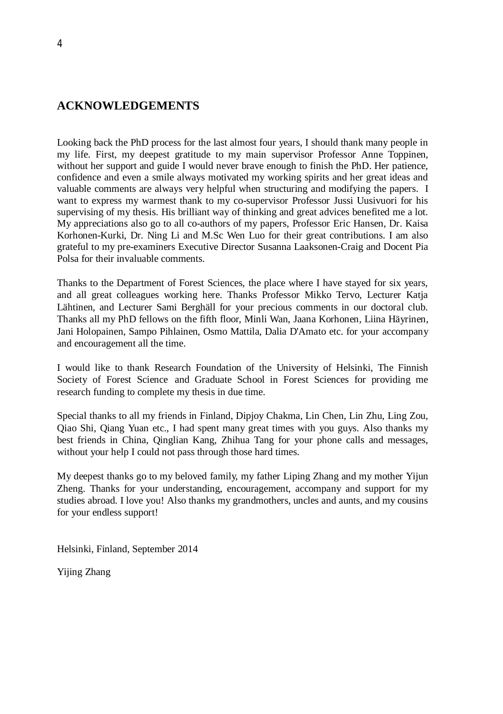# **ACKNOWLEDGEMENTS**

Looking back the PhD process for the last almost four years, I should thank many people in my life. First, my deepest gratitude to my main supervisor Professor Anne Toppinen, without her support and guide I would never brave enough to finish the PhD. Her patience, confidence and even a smile always motivated my working spirits and her great ideas and valuable comments are always very helpful when structuring and modifying the papers. I want to express my warmest thank to my co-supervisor Professor Jussi Uusivuori for his supervising of my thesis. His brilliant way of thinking and great advices benefited me a lot. My appreciations also go to all co-authors of my papers, Professor Eric Hansen, Dr. Kaisa Korhonen-Kurki, Dr. Ning Li and M.Sc Wen Luo for their great contributions. I am also grateful to my pre-examiners Executive Director Susanna Laaksonen-Craig and Docent Pia Polsa for their invaluable comments.

Thanks to the Department of Forest Sciences, the place where I have stayed for six years, and all great colleagues working here. Thanks Professor Mikko Tervo, Lecturer Katja Lähtinen, and Lecturer Sami Berghäll for your precious comments in our doctoral club. Thanks all my PhD fellows on the fifth floor, Minli Wan, Jaana Korhonen, Liina Häyrinen, Jani Holopainen, Sampo Pihlainen, Osmo Mattila, Dalia D'Amato etc. for your accompany and encouragement all the time.

I would like to thank Research Foundation of the University of Helsinki, The Finnish Society of Forest Science and Graduate School in Forest Sciences for providing me research funding to complete my thesis in due time.

Special thanks to all my friends in Finland, Dipjoy Chakma, Lin Chen, Lin Zhu, Ling Zou, Qiao Shi, Qiang Yuan etc., I had spent many great times with you guys. Also thanks my best friends in China, Qinglian Kang, Zhihua Tang for your phone calls and messages, without your help I could not pass through those hard times.

My deepest thanks go to my beloved family, my father Liping Zhang and my mother Yijun Zheng. Thanks for your understanding, encouragement, accompany and support for my studies abroad. I love you! Also thanks my grandmothers, uncles and aunts, and my cousins for your endless support!

Helsinki, Finland, September 2014

Yijing Zhang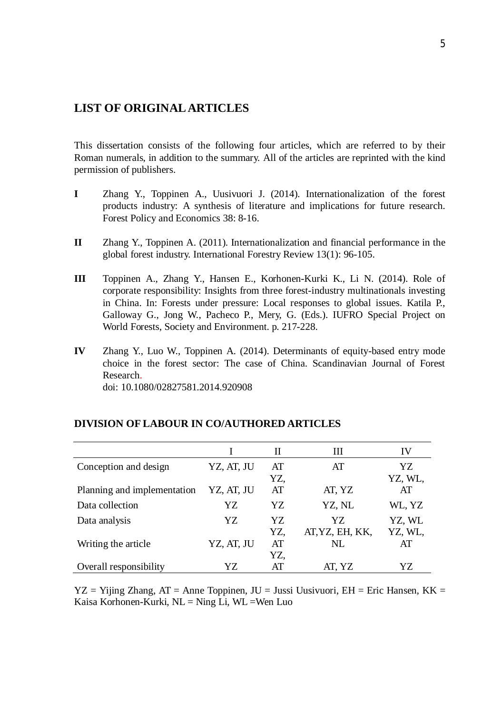# **LIST OF ORIGINAL ARTICLES**

This dissertation consists of the following four articles, which are referred to by their Roman numerals, in addition to the summary. All of the articles are reprinted with the kind permission of publishers.

- **I** Zhang Y., Toppinen A., Uusivuori J. (2014). Internationalization of the forest products industry: A synthesis of literature and implications for future research. Forest Policy and Economics 38: 8-16.
- **II** Zhang Y., Toppinen A. (2011). Internationalization and financial performance in the global forest industry. International Forestry Review 13(1): 96-105.
- **III** Toppinen A., Zhang Y., Hansen E., Korhonen-Kurki K., Li N. (2014). Role of corporate responsibility: Insights from three forest-industry multinationals investing in China. In: Forests under pressure: Local responses to global issues. Katila P., Galloway G., Jong W., Pacheco P., Mery, G. (Eds.). IUFRO Special Project on World Forests, Society and Environment. p. 217-228.
- **IV** Zhang Y., Luo W., Toppinen A. (2014). Determinants of equity-based entry mode choice in the forest sector: The case of China. Scandinavian Journal of Forest Research.

doi: 10.1080/02827581.2014.920908

|                             |            | П   | Ш               | IV      |
|-----------------------------|------------|-----|-----------------|---------|
| Conception and design       | YZ, AT, JU | AT  | AT              | YZ      |
|                             |            | YZ, |                 | YZ, WL, |
| Planning and implementation | YZ, AT, JU | AT  | AT, YZ          | AT      |
| Data collection             | YZ         | YZ. | YZ, NL          | WL, YZ  |
| Data analysis               | YZ         | YZ  | YZ.             | YZ, WL  |
|                             |            | YZ, | AT, YZ, EH, KK, | YZ, WL, |
| Writing the article         | YZ, AT, JU | AT  | NL              | AT      |
|                             |            | YZ, |                 |         |
| Overall responsibility      | YZ.        | AT  | AT, YZ          | YZ      |

#### **DIVISION OF LABOUR IN CO/AUTHORED ARTICLES**

 $YZ = Yijing Zhang, AT = Anne Toppinen, JU = Jussi Uusivuori, EH = Eric Hansen, KK =$ Kaisa Korhonen-Kurki,  $NL =$ Ning Li, WL = Wen Luo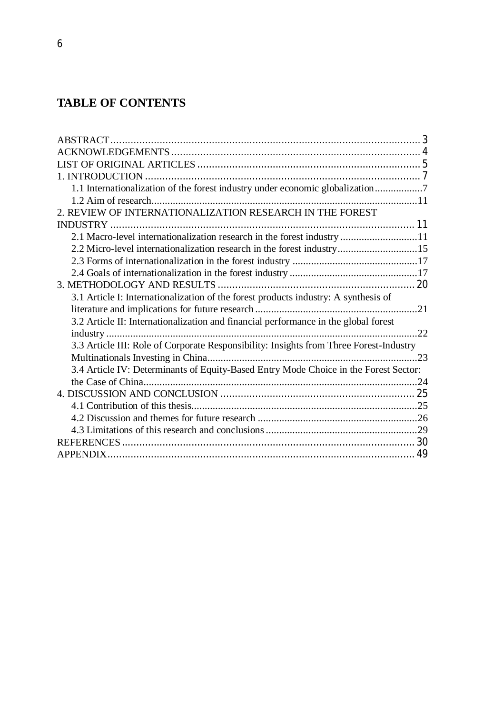# **TABLE OF CONTENTS**

| 1.1 Internationalization of the forest industry under economic globalization7          |  |
|----------------------------------------------------------------------------------------|--|
|                                                                                        |  |
| 2. REVIEW OF INTERNATIONALIZATION RESEARCH IN THE FOREST                               |  |
|                                                                                        |  |
| 2.1 Macro-level internationalization research in the forest industry 11                |  |
| 2.2 Micro-level internationalization research in the forest industry15                 |  |
|                                                                                        |  |
|                                                                                        |  |
|                                                                                        |  |
| 3.1 Article I: Internationalization of the forest products industry: A synthesis of    |  |
|                                                                                        |  |
| 3.2 Article II: Internationalization and financial performance in the global forest    |  |
|                                                                                        |  |
| 3.3 Article III: Role of Corporate Responsibility: Insights from Three Forest-Industry |  |
|                                                                                        |  |
| 3.4 Article IV: Determinants of Equity-Based Entry Mode Choice in the Forest Sector:   |  |
|                                                                                        |  |
|                                                                                        |  |
|                                                                                        |  |
|                                                                                        |  |
|                                                                                        |  |
|                                                                                        |  |
|                                                                                        |  |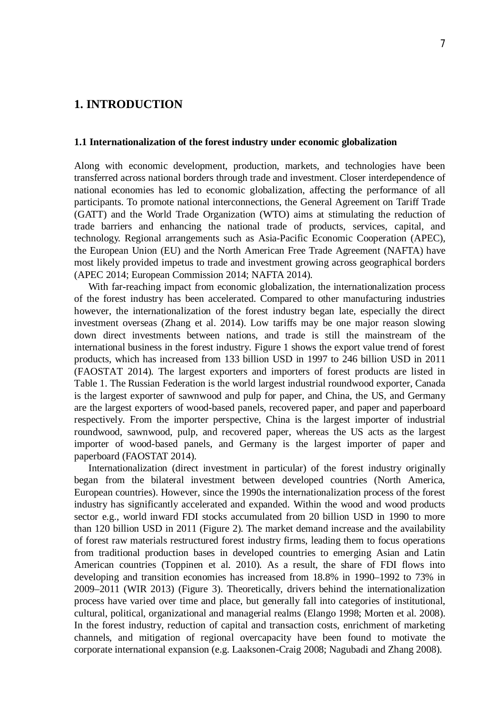# **1. INTRODUCTION**

#### **1.1 Internationalization of the forest industry under economic globalization**

Along with economic development, production, markets, and technologies have been transferred across national borders through trade and investment. Closer interdependence of national economies has led to economic globalization, affecting the performance of all participants. To promote national interconnections, the General Agreement on Tariff Trade (GATT) and the World Trade Organization (WTO) aims at stimulating the reduction of trade barriers and enhancing the national trade of products, services, capital, and technology. Regional arrangements such as Asia-Pacific Economic Cooperation (APEC), the European Union (EU) and the North American Free Trade Agreement (NAFTA) have most likely provided impetus to trade and investment growing across geographical borders (APEC 2014; European Commission 2014; NAFTA 2014).

With far-reaching impact from economic globalization, the internationalization process of the forest industry has been accelerated. Compared to other manufacturing industries however, the internationalization of the forest industry began late, especially the direct investment overseas (Zhang et al. 2014). Low tariffs may be one major reason slowing down direct investments between nations, and trade is still the mainstream of the international business in the forest industry. Figure 1 shows the export value trend of forest products, which has increased from 133 billion USD in 1997 to 246 billion USD in 2011 (FAOSTAT 2014). The largest exporters and importers of forest products are listed in Table 1. The Russian Federation is the world largest industrial roundwood exporter, Canada is the largest exporter of sawnwood and pulp for paper, and China, the US, and Germany are the largest exporters of wood-based panels, recovered paper, and paper and paperboard respectively. From the importer perspective, China is the largest importer of industrial roundwood, sawnwood, pulp, and recovered paper, whereas the US acts as the largest importer of wood-based panels, and Germany is the largest importer of paper and paperboard (FAOSTAT 2014).

Internationalization (direct investment in particular) of the forest industry originally began from the bilateral investment between developed countries (North America, European countries). However, since the 1990s the internationalization process of the forest industry has significantly accelerated and expanded. Within the wood and wood products sector e.g., world inward FDI stocks accumulated from 20 billion USD in 1990 to more than 120 billion USD in 2011 (Figure 2). The market demand increase and the availability of forest raw materials restructured forest industry firms, leading them to focus operations from traditional production bases in developed countries to emerging Asian and Latin American countries (Toppinen et al. 2010). As a result, the share of FDI flows into developing and transition economies has increased from 18.8% in 1990–1992 to 73% in 2009–2011 (WIR 2013) (Figure 3). Theoretically, drivers behind the internationalization process have varied over time and place, but generally fall into categories of institutional, cultural, political, organizational and managerial realms (Elango 1998; Morten et al. 2008). In the forest industry, reduction of capital and transaction costs, enrichment of marketing channels, and mitigation of regional overcapacity have been found to motivate the corporate international expansion (e.g. Laaksonen-Craig 2008; Nagubadi and Zhang 2008).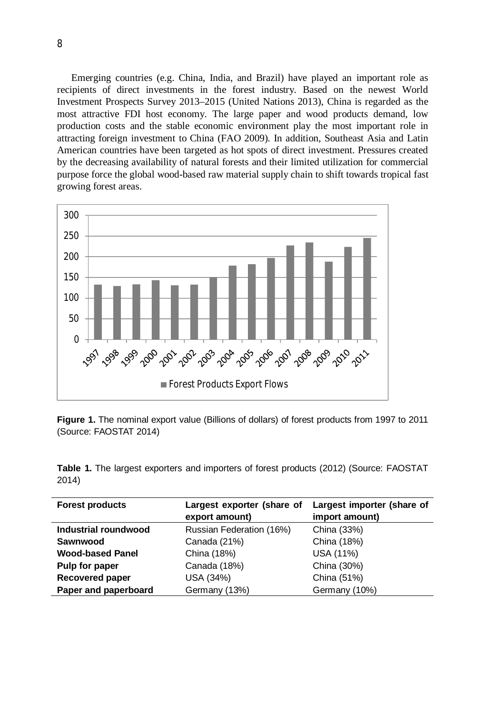Emerging countries (e.g. China, India, and Brazil) have played an important role as recipients of direct investments in the forest industry. Based on the newest World Investment Prospects Survey 2013–2015 (United Nations 2013), China is regarded as the most attractive FDI host economy. The large paper and wood products demand, low production costs and the stable economic environment play the most important role in attracting foreign investment to China (FAO 2009). In addition, Southeast Asia and Latin American countries have been targeted as hot spots of direct investment. Pressures created by the decreasing availability of natural forests and their limited utilization for commercial purpose force the global wood-based raw material supply chain to shift towards tropical fast growing forest areas.



**Figure 1.** The nominal export value (Billions of dollars) of forest products from 1997 to 2011 (Source: FAOSTAT 2014)

|       |  |  |  |  |  | Table 1. The largest exporters and importers of forest products (2012) (Source: FAOSTAT |
|-------|--|--|--|--|--|-----------------------------------------------------------------------------------------|
| 2014) |  |  |  |  |  |                                                                                         |

| <b>Forest products</b>  | Largest exporter (share of |                |
|-------------------------|----------------------------|----------------|
|                         | export amount)             | import amount) |
| Industrial roundwood    | Russian Federation (16%)   | China (33%)    |
| Sawnwood                | Canada (21%)               | China (18%)    |
| <b>Wood-based Panel</b> | China (18%)                | USA (11%)      |
| Pulp for paper          | Canada (18%)               | China (30%)    |
| Recovered paper         | USA (34%)                  | China (51%)    |
| Paper and paperboard    | Germany (13%)              | Germany (10%)  |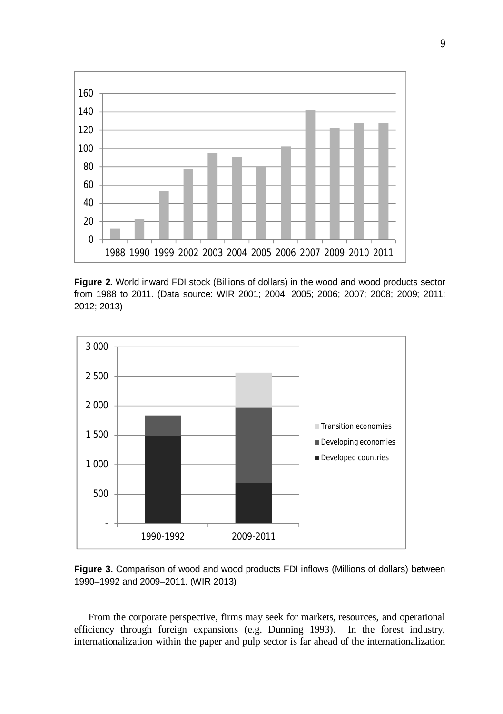

**Figure 2.** World inward FDI stock (Billions of dollars) in the wood and wood products sector from 1988 to 2011. (Data source: WIR 2001; 2004; 2005; 2006; 2007; 2008; 2009; 2011; 2012; 2013)





From the corporate perspective, firms may seek for markets, resources, and operational efficiency through foreign expansions (e.g. Dunning 1993). In the forest industry, internationalization within the paper and pulp sector is far ahead of the internationalization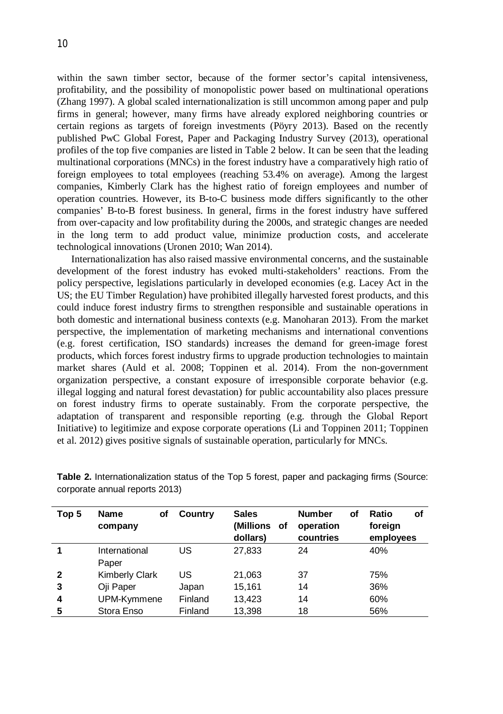within the sawn timber sector, because of the former sector's capital intensiveness, profitability, and the possibility of monopolistic power based on multinational operations (Zhang 1997). A global scaled internationalization is still uncommon among paper and pulp firms in general; however, many firms have already explored neighboring countries or certain regions as targets of foreign investments (Pöyry 2013). Based on the recently published PwC Global Forest, Paper and Packaging Industry Survey (2013), operational profiles of the top five companies are listed in Table 2 below. It can be seen that the leading multinational corporations (MNCs) in the forest industry have a comparatively high ratio of foreign employees to total employees (reaching 53.4% on average). Among the largest companies, Kimberly Clark has the highest ratio of foreign employees and number of operation countries. However, its B-to-C business mode differs significantly to the other companies' B-to-B forest business. In general, firms in the forest industry have suffered from over-capacity and low profitability during the 2000s, and strategic changes are needed in the long term to add product value, minimize production costs, and accelerate technological innovations (Uronen 2010; Wan 2014).

Internationalization has also raised massive environmental concerns, and the sustainable development of the forest industry has evoked multi-stakeholders' reactions. From the policy perspective, legislations particularly in developed economies (e.g. Lacey Act in the US; the EU Timber Regulation) have prohibited illegally harvested forest products, and this could induce forest industry firms to strengthen responsible and sustainable operations in both domestic and international business contexts (e.g. Manoharan 2013). From the market perspective, the implementation of marketing mechanisms and international conventions (e.g. forest certification, ISO standards) increases the demand for green-image forest products, which forces forest industry firms to upgrade production technologies to maintain market shares (Auld et al. 2008; Toppinen et al. 2014). From the non-government organization perspective, a constant exposure of irresponsible corporate behavior (e.g. illegal logging and natural forest devastation) for public accountability also places pressure on forest industry firms to operate sustainably. From the corporate perspective, the adaptation of transparent and responsible reporting (e.g. through the Global Report Initiative) to legitimize and expose corporate operations (Li and Toppinen 2011; Toppinen et al. 2012) gives positive signals of sustainable operation, particularly for MNCs.

| Top 5        | Name<br>οf<br>company | Country | <b>Sales</b><br>(Millions<br>οf<br>dollars) | <b>Number</b><br>οf<br>operation<br>countries | Ratio<br>οf<br>foreign<br>employees |
|--------------|-----------------------|---------|---------------------------------------------|-----------------------------------------------|-------------------------------------|
|              | International         | US      | 27,833                                      | 24                                            | 40%                                 |
|              | Paper                 |         |                                             |                                               |                                     |
| $\mathbf{2}$ | <b>Kimberly Clark</b> | US      | 21,063                                      | 37                                            | 75%                                 |
| 3            | Oji Paper             | Japan   | 15,161                                      | 14                                            | 36%                                 |
| 4            | UPM-Kymmene           | Finland | 13,423                                      | 14                                            | 60%                                 |
| 5            | Stora Enso            | Finland | 13.398                                      | 18                                            | 56%                                 |

**Table 2.** Internationalization status of the Top 5 forest, paper and packaging firms (Source: corporate annual reports 2013)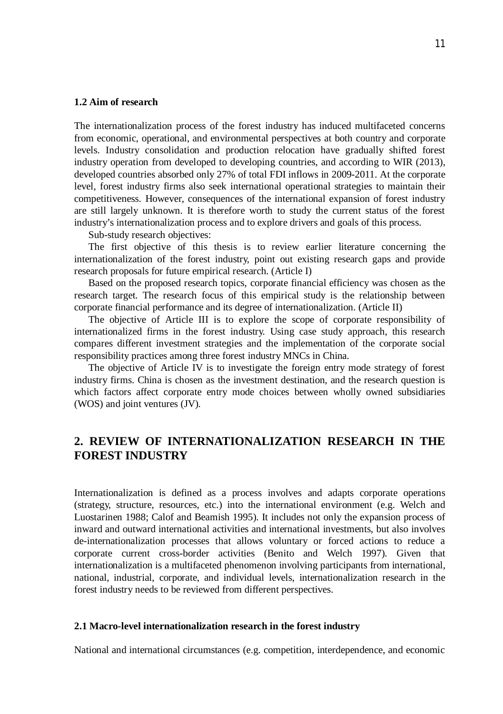#### **1.2 Aim of research**

The internationalization process of the forest industry has induced multifaceted concerns from economic, operational, and environmental perspectives at both country and corporate levels. Industry consolidation and production relocation have gradually shifted forest industry operation from developed to developing countries, and according to WIR (2013), developed countries absorbed only 27% of total FDI inflows in 2009-2011. At the corporate level, forest industry firms also seek international operational strategies to maintain their competitiveness. However, consequences of the international expansion of forest industry are still largely unknown. It is therefore worth to study the current status of the forest industry's internationalization process and to explore drivers and goals of this process.

Sub-study research objectives:

The first objective of this thesis is to review earlier literature concerning the internationalization of the forest industry, point out existing research gaps and provide research proposals for future empirical research. (Article I)

Based on the proposed research topics, corporate financial efficiency was chosen as the research target. The research focus of this empirical study is the relationship between corporate financial performance and its degree of internationalization. (Article II)

The objective of Article III is to explore the scope of corporate responsibility of internationalized firms in the forest industry. Using case study approach, this research compares different investment strategies and the implementation of the corporate social responsibility practices among three forest industry MNCs in China.

The objective of Article IV is to investigate the foreign entry mode strategy of forest industry firms. China is chosen as the investment destination, and the research question is which factors affect corporate entry mode choices between wholly owned subsidiaries (WOS) and joint ventures (JV).

# **2. REVIEW OF INTERNATIONALIZATION RESEARCH IN THE FOREST INDUSTRY**

Internationalization is defined as a process involves and adapts corporate operations (strategy, structure, resources, etc.) into the international environment (e.g. Welch and Luostarinen 1988; Calof and Beamish 1995). It includes not only the expansion process of inward and outward international activities and international investments, but also involves de-internationalization processes that allows voluntary or forced actions to reduce a corporate current cross-border activities (Benito and Welch 1997). Given that internationalization is a multifaceted phenomenon involving participants from international, national, industrial, corporate, and individual levels, internationalization research in the forest industry needs to be reviewed from different perspectives.

#### **2.1 Macro-level internationalization research in the forest industry**

National and international circumstances (e.g. competition, interdependence, and economic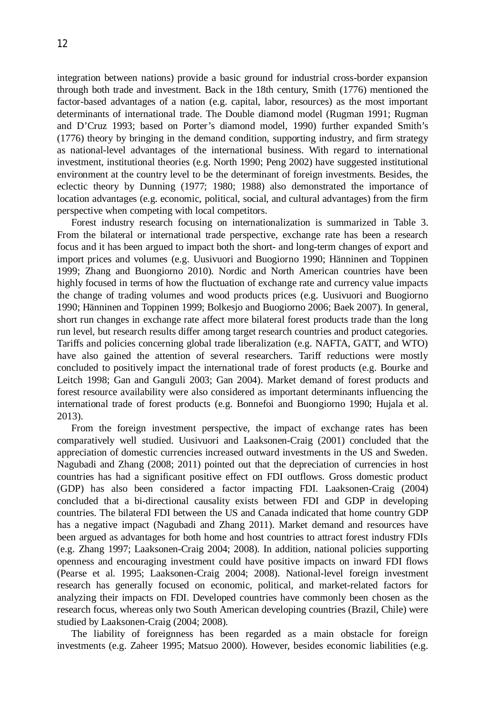integration between nations) provide a basic ground for industrial cross-border expansion through both trade and investment. Back in the 18th century, Smith (1776) mentioned the factor-based advantages of a nation (e.g. capital, labor, resources) as the most important determinants of international trade. The Double diamond model (Rugman 1991; Rugman and D'Cruz 1993; based on Porter's diamond model, 1990) further expanded Smith's (1776) theory by bringing in the demand condition, supporting industry, and firm strategy as national-level advantages of the international business. With regard to international investment, institutional theories (e.g. North 1990; Peng 2002) have suggested institutional environment at the country level to be the determinant of foreign investments. Besides, the eclectic theory by Dunning (1977; 1980; 1988) also demonstrated the importance of location advantages (e.g. economic, political, social, and cultural advantages) from the firm perspective when competing with local competitors.

Forest industry research focusing on internationalization is summarized in Table 3. From the bilateral or international trade perspective, exchange rate has been a research focus and it has been argued to impact both the short- and long-term changes of export and import prices and volumes (e.g. Uusivuori and Buogiorno 1990; Hänninen and Toppinen 1999; Zhang and Buongiorno 2010). Nordic and North American countries have been highly focused in terms of how the fluctuation of exchange rate and currency value impacts the change of trading volumes and wood products prices (e.g. Uusivuori and Buogiorno 1990; Hänninen and Toppinen 1999; Bolkesjo and Buogiorno 2006; Baek 2007). In general, short run changes in exchange rate affect more bilateral forest products trade than the long run level, but research results differ among target research countries and product categories. Tariffs and policies concerning global trade liberalization (e.g. NAFTA, GATT, and WTO) have also gained the attention of several researchers. Tariff reductions were mostly concluded to positively impact the international trade of forest products (e.g. Bourke and Leitch 1998; Gan and Ganguli 2003; Gan 2004). Market demand of forest products and forest resource availability were also considered as important determinants influencing the international trade of forest products (e.g. Bonnefoi and Buongiorno 1990; Hujala et al. 2013).

From the foreign investment perspective, the impact of exchange rates has been comparatively well studied. Uusivuori and Laaksonen-Craig (2001) concluded that the appreciation of domestic currencies increased outward investments in the US and Sweden. Nagubadi and Zhang (2008; 2011) pointed out that the depreciation of currencies in host countries has had a significant positive effect on FDI outflows. Gross domestic product (GDP) has also been considered a factor impacting FDI. Laaksonen-Craig (2004) concluded that a bi-directional causality exists between FDI and GDP in developing countries. The bilateral FDI between the US and Canada indicated that home country GDP has a negative impact (Nagubadi and Zhang 2011). Market demand and resources have been argued as advantages for both home and host countries to attract forest industry FDIs (e.g. Zhang 1997; Laaksonen-Craig 2004; 2008). In addition, national policies supporting openness and encouraging investment could have positive impacts on inward FDI flows (Pearse et al. 1995; Laaksonen-Craig 2004; 2008). National-level foreign investment research has generally focused on economic, political, and market-related factors for analyzing their impacts on FDI. Developed countries have commonly been chosen as the research focus, whereas only two South American developing countries (Brazil, Chile) were studied by Laaksonen-Craig (2004; 2008).

The liability of foreignness has been regarded as a main obstacle for foreign investments (e.g. Zaheer 1995; Matsuo 2000). However, besides economic liabilities (e.g.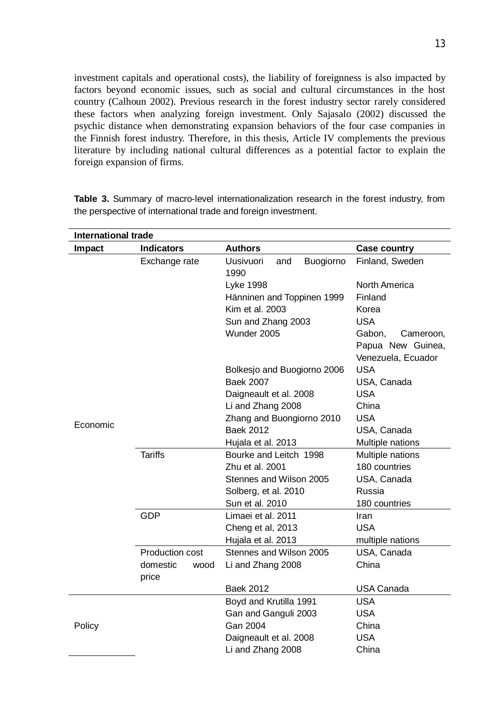investment capitals and operational costs), the liability of foreignness is also impacted by factors beyond economic issues, such as social and cultural circumstances in the host country (Calhoun 2002). Previous research in the forest industry sector rarely considered these factors when analyzing foreign investment. Only Sajasalo (2002) discussed the psychic distance when demonstrating expansion behaviors of the four case companies in the Finnish forest industry. Therefore, in this thesis, Article IV complements the previous literature by including national cultural differences as a potential factor to explain the foreign expansion of firms.

| <b>International trade</b> |                   |                                              |                     |  |  |  |
|----------------------------|-------------------|----------------------------------------------|---------------------|--|--|--|
| Impact                     | <b>Indicators</b> | <b>Authors</b>                               | <b>Case country</b> |  |  |  |
|                            | Exchange rate     | <b>Uusivuori</b><br>Buogiorno<br>and<br>1990 | Finland, Sweden     |  |  |  |
|                            |                   | Lyke 1998                                    | North America       |  |  |  |
|                            |                   | Hänninen and Toppinen 1999                   | Finland             |  |  |  |
|                            |                   | Kim et al. 2003                              | Korea               |  |  |  |
|                            |                   | Sun and Zhang 2003                           | <b>USA</b>          |  |  |  |
|                            |                   | Wunder 2005                                  | Gabon,<br>Cameroon, |  |  |  |
|                            |                   |                                              | Papua New Guinea,   |  |  |  |
|                            |                   |                                              | Venezuela, Ecuador  |  |  |  |
|                            |                   | Bolkesjo and Buogiorno 2006                  | <b>USA</b>          |  |  |  |
|                            |                   | <b>Baek 2007</b>                             | USA, Canada         |  |  |  |
|                            |                   | Daigneault et al. 2008                       | <b>USA</b>          |  |  |  |
|                            |                   | Li and Zhang 2008                            | China               |  |  |  |
| Economic                   |                   | Zhang and Buongiorno 2010                    | <b>USA</b>          |  |  |  |
|                            |                   | <b>Baek 2012</b>                             | USA, Canada         |  |  |  |
|                            |                   | Hujala et al. 2013                           | Multiple nations    |  |  |  |
|                            | <b>Tariffs</b>    | Bourke and Leitch 1998                       | Multiple nations    |  |  |  |
|                            |                   | Zhu et al. 2001                              | 180 countries       |  |  |  |
|                            |                   | Stennes and Wilson 2005                      | USA, Canada         |  |  |  |
|                            |                   | Solberg, et al. 2010                         | Russia              |  |  |  |
|                            |                   | Sun et al. 2010                              | 180 countries       |  |  |  |
|                            | GDP               | Limaei et al. 2011                           | Iran                |  |  |  |
|                            |                   | Cheng et al, 2013                            | USA                 |  |  |  |
|                            |                   | Hujala et al. 2013                           | multiple nations    |  |  |  |
|                            | Production cost   | Stennes and Wilson 2005                      | USA, Canada         |  |  |  |
|                            | domestic<br>wood  | Li and Zhang 2008                            | China               |  |  |  |
|                            | price             |                                              |                     |  |  |  |
|                            |                   | <b>Baek 2012</b>                             | <b>USA Canada</b>   |  |  |  |
|                            |                   | Boyd and Krutilla 1991                       | <b>USA</b>          |  |  |  |
|                            |                   | Gan and Ganguli 2003                         | <b>USA</b>          |  |  |  |
| Policy                     |                   | Gan 2004                                     | China               |  |  |  |
|                            |                   | Daigneault et al. 2008                       | <b>USA</b>          |  |  |  |
|                            |                   | Li and Zhang 2008                            | China               |  |  |  |

**Table 3.** Summary of macro-level internationalization research in the forest industry, from the perspective of international trade and foreign investment.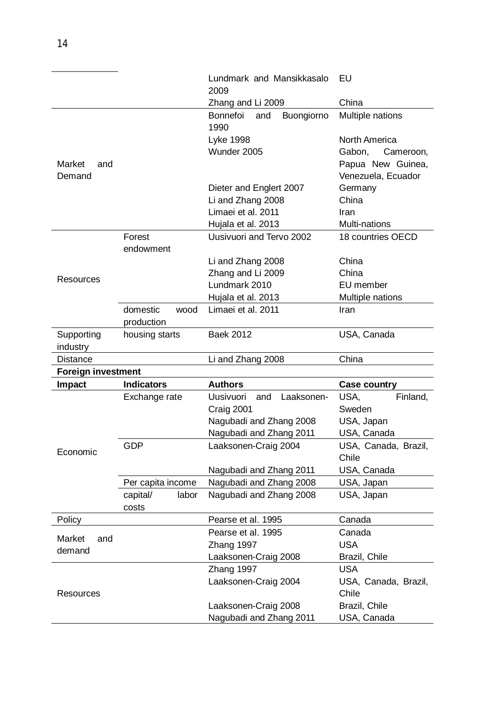|                           |                                | Lundmark and Mansikkasalo<br>2009               | EU                           |
|---------------------------|--------------------------------|-------------------------------------------------|------------------------------|
|                           |                                | Zhang and Li 2009                               | China                        |
|                           |                                | <b>Bonnefoi</b><br>Buongiorno<br>and<br>1990    | Multiple nations             |
|                           |                                | Lyke 1998                                       | North America                |
|                           |                                | Wunder 2005                                     | Gabon,<br>Cameroon,          |
| Market<br>and             |                                |                                                 | Papua New Guinea,            |
| Demand                    |                                |                                                 | Venezuela, Ecuador           |
|                           |                                | Dieter and Englert 2007                         | Germany                      |
|                           |                                | Li and Zhang 2008                               | China                        |
|                           |                                | Limaei et al. 2011                              | Iran                         |
|                           |                                | Hujala et al. 2013                              | Multi-nations                |
|                           | Forest                         | Uusivuori and Tervo 2002                        | 18 countries OECD            |
|                           | endowment                      |                                                 |                              |
|                           |                                | Li and Zhang 2008                               | China                        |
| Resources                 |                                | Zhang and Li 2009                               | China                        |
|                           |                                | Lundmark 2010                                   | EU member                    |
|                           |                                | Hujala et al. 2013                              | Multiple nations             |
|                           | domestic<br>wood<br>production | Limaei et al. 2011                              | Iran                         |
| Supporting                | housing starts                 | Baek 2012                                       | USA, Canada                  |
| industry                  |                                |                                                 |                              |
| <b>Distance</b>           |                                | Li and Zhang 2008                               | China                        |
| <b>Foreign investment</b> |                                |                                                 |                              |
| <b>Impact</b>             | <b>Indicators</b>              | Authors                                         | <b>Case country</b>          |
|                           | Exchange rate                  | <b>Uusivuori</b><br>and<br>Laaksonen-           | USA,<br>Finland,             |
|                           |                                | Craig 2001                                      | Sweden                       |
|                           |                                | Nagubadi and Zhang 2008                         | USA, Japan                   |
|                           |                                | Nagubadi and Zhang 2011                         | USA, Canada                  |
| Economic                  | <b>GDP</b>                     | Laaksonen-Craig 2004                            | USA, Canada, Brazil,         |
|                           |                                |                                                 | Chile                        |
|                           |                                | Nagubadi and Zhang 2011                         | USA, Canada                  |
|                           | Per capita income              | Nagubadi and Zhang 2008                         | USA, Japan                   |
|                           | capital/<br>labor              | Nagubadi and Zhang 2008                         | USA, Japan                   |
|                           | costs                          |                                                 |                              |
| Policy                    |                                | Pearse et al. 1995                              | Canada                       |
| Market<br>and             |                                | Pearse et al. 1995                              | Canada                       |
| demand                    |                                | Zhang 1997                                      | <b>USA</b>                   |
|                           |                                | Laaksonen-Craig 2008                            | Brazil, Chile                |
|                           |                                | Zhang 1997                                      | <b>USA</b>                   |
|                           |                                | Laaksonen-Craig 2004                            | USA, Canada, Brazil,         |
| Resources                 |                                |                                                 | Chile                        |
|                           |                                |                                                 |                              |
|                           |                                | Laaksonen-Craig 2008<br>Nagubadi and Zhang 2011 | Brazil, Chile<br>USA, Canada |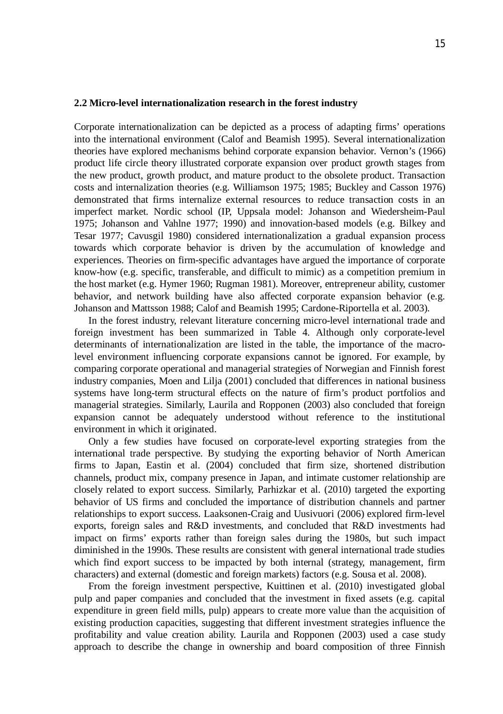#### **2.2 Micro-level internationalization research in the forest industry**

Corporate internationalization can be depicted as a process of adapting firms' operations into the international environment (Calof and Beamish 1995). Several internationalization theories have explored mechanisms behind corporate expansion behavior. Vernon's (1966) product life circle theory illustrated corporate expansion over product growth stages from the new product, growth product, and mature product to the obsolete product. Transaction costs and internalization theories (e.g. Williamson 1975; 1985; Buckley and Casson 1976) demonstrated that firms internalize external resources to reduce transaction costs in an imperfect market. Nordic school (IP, Uppsala model: Johanson and Wiedersheim-Paul 1975; Johanson and Vahlne 1977; 1990) and innovation-based models (e.g. Bilkey and Tesar 1977; Cavusgil 1980) considered internationalization a gradual expansion process towards which corporate behavior is driven by the accumulation of knowledge and experiences. Theories on firm-specific advantages have argued the importance of corporate know-how (e.g. specific, transferable, and difficult to mimic) as a competition premium in the host market (e.g. Hymer 1960; Rugman 1981). Moreover, entrepreneur ability, customer behavior, and network building have also affected corporate expansion behavior (e.g. Johanson and Mattsson 1988; Calof and Beamish 1995; Cardone-Riportella et al. 2003).

In the forest industry, relevant literature concerning micro-level international trade and foreign investment has been summarized in Table 4. Although only corporate-level determinants of internationalization are listed in the table, the importance of the macrolevel environment influencing corporate expansions cannot be ignored. For example, by comparing corporate operational and managerial strategies of Norwegian and Finnish forest industry companies, Moen and Lilja (2001) concluded that differences in national business systems have long-term structural effects on the nature of firm's product portfolios and managerial strategies. Similarly, Laurila and Ropponen (2003) also concluded that foreign expansion cannot be adequately understood without reference to the institutional environment in which it originated.

Only a few studies have focused on corporate-level exporting strategies from the international trade perspective. By studying the exporting behavior of North American firms to Japan, Eastin et al. (2004) concluded that firm size, shortened distribution channels, product mix, company presence in Japan, and intimate customer relationship are closely related to export success. Similarly, Parhizkar et al. (2010) targeted the exporting behavior of US firms and concluded the importance of distribution channels and partner relationships to export success. Laaksonen-Craig and Uusivuori (2006) explored firm-level exports, foreign sales and R&D investments, and concluded that R&D investments had impact on firms' exports rather than foreign sales during the 1980s, but such impact diminished in the 1990s. These results are consistent with general international trade studies which find export success to be impacted by both internal (strategy, management, firm characters) and external (domestic and foreign markets) factors (e.g. Sousa et al. 2008).

From the foreign investment perspective, Kuittinen et al. (2010) investigated global pulp and paper companies and concluded that the investment in fixed assets (e.g. capital expenditure in green field mills, pulp) appears to create more value than the acquisition of existing production capacities, suggesting that different investment strategies influence the profitability and value creation ability. Laurila and Ropponen (2003) used a case study approach to describe the change in ownership and board composition of three Finnish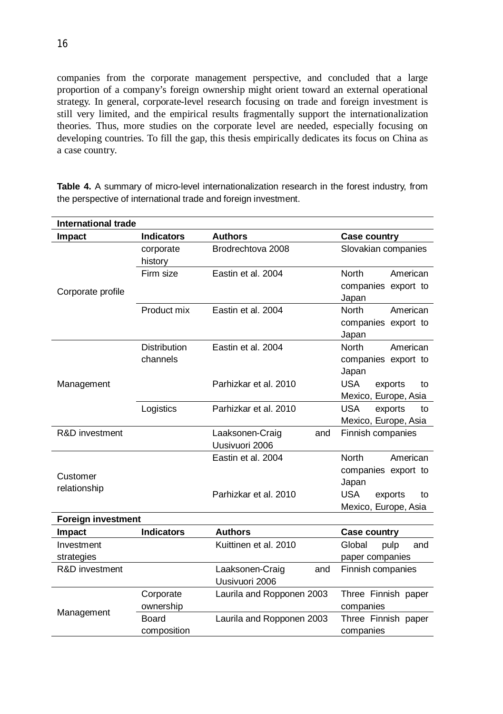companies from the corporate management perspective, and concluded that a large proportion of a company's foreign ownership might orient toward an external operational strategy. In general, corporate-level research focusing on trade and foreign investment is still very limited, and the empirical results fragmentally support the internationalization theories. Thus, more studies on the corporate level are needed, especially focusing on developing countries. To fill the gap, this thesis empirically dedicates its focus on China as a case country.

| Case country                                                                 |
|------------------------------------------------------------------------------|
|                                                                              |
| Slovakian companies                                                          |
| <b>North</b><br>American<br>companies export to<br>Japan                     |
| American<br><b>North</b><br>companies export to<br>Japan                     |
| <b>North</b><br>American<br>companies export to<br>Japan                     |
| Parhizkar et al. 2010<br>USA.<br>exports<br>to<br>Mexico, Europe, Asia       |
| <b>USA</b><br>Parhizkar et al. 2010<br>exports<br>to<br>Mexico, Europe, Asia |
| Finnish companies<br>and                                                     |
| American<br><b>North</b><br>companies export to<br>Japan                     |
| Parhizkar et al. 2010<br><b>USA</b><br>exports<br>to<br>Mexico, Europe, Asia |
|                                                                              |
| Case country<br>$\sim$ $\sim$ $\sim$ $\sim$ $\sim$ $\sim$ $\sim$             |
| Brodrechtova 2008                                                            |

**Table 4.** A summary of micro-level internationalization research in the forest industry, from the perspective of international trade and foreign investment.

| Foreign investment |                   |                           |                       |
|--------------------|-------------------|---------------------------|-----------------------|
| Impact             | <b>Indicators</b> | <b>Authors</b>            | Case country          |
| Investment         |                   | Kuittinen et al. 2010     | Global<br>pulp<br>and |
| strategies         |                   |                           | paper companies       |
| R&D investment     |                   | Laaksonen-Craig<br>and    | Finnish companies     |
|                    |                   | Uusivuori 2006            |                       |
|                    | Corporate         | Laurila and Ropponen 2003 | Three Finnish paper   |
| Management         | ownership         |                           | companies             |
|                    | Board             | Laurila and Ropponen 2003 | Three Finnish paper   |
|                    | composition       |                           | companies             |
|                    |                   |                           |                       |

16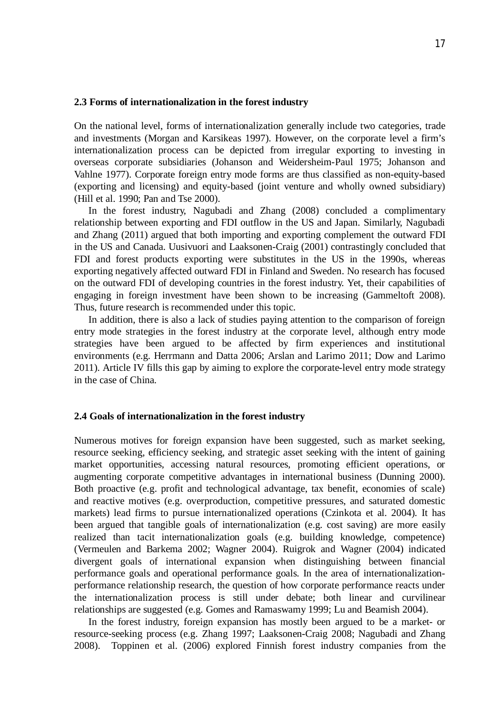#### **2.3 Forms of internationalization in the forest industry**

On the national level, forms of internationalization generally include two categories, trade and investments (Morgan and Karsikeas 1997). However, on the corporate level a firm's internationalization process can be depicted from irregular exporting to investing in overseas corporate subsidiaries (Johanson and Weidersheim-Paul 1975; Johanson and Vahlne 1977). Corporate foreign entry mode forms are thus classified as non-equity-based (exporting and licensing) and equity-based (joint venture and wholly owned subsidiary) (Hill et al. 1990; Pan and Tse 2000).

In the forest industry, Nagubadi and Zhang (2008) concluded a complimentary relationship between exporting and FDI outflow in the US and Japan. Similarly, Nagubadi and Zhang (2011) argued that both importing and exporting complement the outward FDI in the US and Canada. Uusivuori and Laaksonen-Craig (2001) contrastingly concluded that FDI and forest products exporting were substitutes in the US in the 1990s, whereas exporting negatively affected outward FDI in Finland and Sweden. No research has focused on the outward FDI of developing countries in the forest industry. Yet, their capabilities of engaging in foreign investment have been shown to be increasing (Gammeltoft 2008). Thus, future research is recommended under this topic.

In addition, there is also a lack of studies paying attention to the comparison of foreign entry mode strategies in the forest industry at the corporate level, although entry mode strategies have been argued to be affected by firm experiences and institutional environments (e.g. Herrmann and Datta 2006; Arslan and Larimo 2011; Dow and Larimo 2011). Article IV fills this gap by aiming to explore the corporate-level entry mode strategy in the case of China.

#### **2.4 Goals of internationalization in the forest industry**

Numerous motives for foreign expansion have been suggested, such as market seeking, resource seeking, efficiency seeking, and strategic asset seeking with the intent of gaining market opportunities, accessing natural resources, promoting efficient operations, or augmenting corporate competitive advantages in international business (Dunning 2000). Both proactive (e.g. profit and technological advantage, tax benefit, economies of scale) and reactive motives (e.g. overproduction, competitive pressures, and saturated domestic markets) lead firms to pursue internationalized operations (Czinkota et al. 2004). It has been argued that tangible goals of internationalization (e.g. cost saving) are more easily realized than tacit internationalization goals (e.g. building knowledge, competence) (Vermeulen and Barkema 2002; Wagner 2004). Ruigrok and Wagner (2004) indicated divergent goals of international expansion when distinguishing between financial performance goals and operational performance goals. In the area of internationalizationperformance relationship research, the question of how corporate performance reacts under the internationalization process is still under debate; both linear and curvilinear relationships are suggested (e.g. Gomes and Ramaswamy 1999; Lu and Beamish 2004).

In the forest industry, foreign expansion has mostly been argued to be a market- or resource-seeking process (e.g. Zhang 1997; Laaksonen-Craig 2008; Nagubadi and Zhang 2008). Toppinen et al. (2006) explored Finnish forest industry companies from the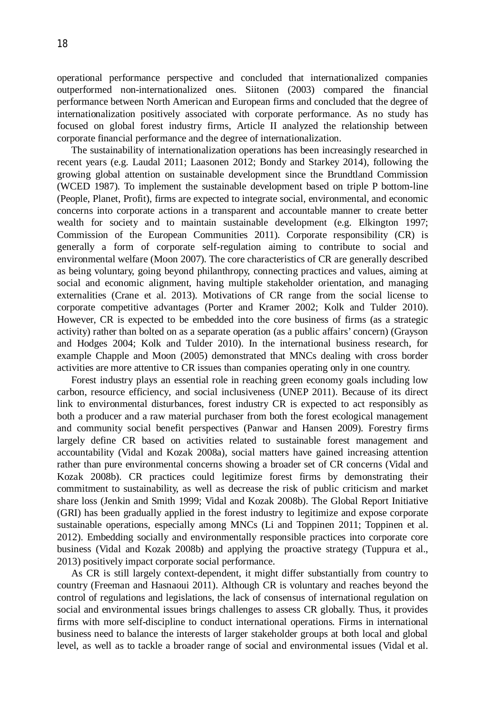operational performance perspective and concluded that internationalized companies outperformed non-internationalized ones. Siitonen (2003) compared the financial performance between North American and European firms and concluded that the degree of internationalization positively associated with corporate performance. As no study has focused on global forest industry firms, Article II analyzed the relationship between corporate financial performance and the degree of internationalization.

The sustainability of internationalization operations has been increasingly researched in recent years (e.g. Laudal 2011; Laasonen 2012; Bondy and Starkey 2014), following the growing global attention on sustainable development since the Brundtland Commission (WCED 1987). To implement the sustainable development based on triple P bottom-line (People, Planet, Profit), firms are expected to integrate social, environmental, and economic concerns into corporate actions in a transparent and accountable manner to create better wealth for society and to maintain sustainable development (e.g. Elkington 1997; Commission of the European Communities 2011). Corporate responsibility (CR) is generally a form of corporate self-regulation aiming to contribute to social and environmental welfare (Moon 2007). The core characteristics of CR are generally described as being voluntary, going beyond philanthropy, connecting practices and values, aiming at social and economic alignment, having multiple stakeholder orientation, and managing externalities (Crane et al. 2013). Motivations of CR range from the social license to corporate competitive advantages (Porter and Kramer 2002; Kolk and Tulder 2010). However, CR is expected to be embedded into the core business of firms (as a strategic activity) rather than bolted on as a separate operation (as a public affairs' concern) (Grayson and Hodges 2004; Kolk and Tulder 2010). In the international business research, for example Chapple and Moon (2005) demonstrated that MNCs dealing with cross border activities are more attentive to CR issues than companies operating only in one country.

Forest industry plays an essential role in reaching green economy goals including low carbon, resource efficiency, and social inclusiveness (UNEP 2011). Because of its direct link to environmental disturbances, forest industry CR is expected to act responsibly as both a producer and a raw material purchaser from both the forest ecological management and community social benefit perspectives (Panwar and Hansen 2009). Forestry firms largely define CR based on activities related to sustainable forest management and accountability (Vidal and Kozak 2008a), social matters have gained increasing attention rather than pure environmental concerns showing a broader set of CR concerns (Vidal and Kozak 2008b). CR practices could legitimize forest firms by demonstrating their commitment to sustainability, as well as decrease the risk of public criticism and market share loss (Jenkin and Smith 1999; Vidal and Kozak 2008b). The Global Report Initiative (GRI) has been gradually applied in the forest industry to legitimize and expose corporate sustainable operations, especially among MNCs (Li and Toppinen 2011; Toppinen et al. 2012). Embedding socially and environmentally responsible practices into corporate core business (Vidal and Kozak 2008b) and applying the proactive strategy (Tuppura et al., 2013) positively impact corporate social performance.

As CR is still largely context-dependent, it might differ substantially from country to country (Freeman and Hasnaoui 2011). Although CR is voluntary and reaches beyond the control of regulations and legislations, the lack of consensus of international regulation on social and environmental issues brings challenges to assess CR globally. Thus, it provides firms with more self-discipline to conduct international operations. Firms in international business need to balance the interests of larger stakeholder groups at both local and global level, as well as to tackle a broader range of social and environmental issues (Vidal et al.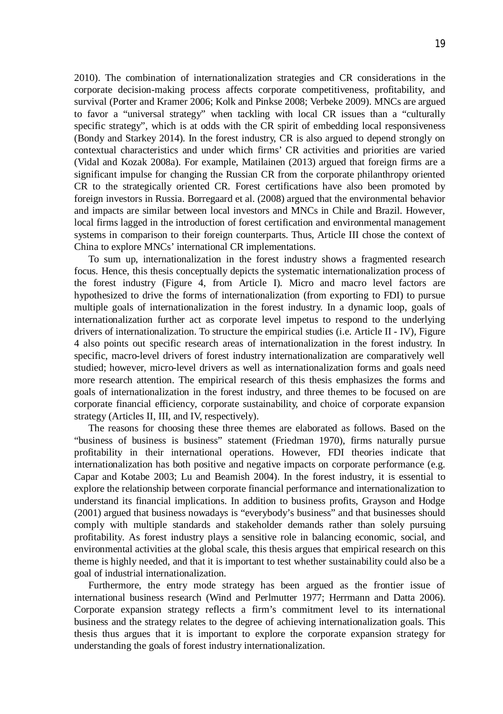2010). The combination of internationalization strategies and CR considerations in the corporate decision-making process affects corporate competitiveness, profitability, and survival (Porter and Kramer 2006; Kolk and Pinkse 2008; Verbeke 2009). MNCs are argued to favor a "universal strategy" when tackling with local CR issues than a "culturally specific strategy", which is at odds with the CR spirit of embedding local responsiveness (Bondy and Starkey 2014). In the forest industry, CR is also argued to depend strongly on contextual characteristics and under which firms' CR activities and priorities are varied (Vidal and Kozak 2008a). For example, Matilainen (2013) argued that foreign firms are a significant impulse for changing the Russian CR from the corporate philanthropy oriented CR to the strategically oriented CR. Forest certifications have also been promoted by foreign investors in Russia. Borregaard et al. (2008) argued that the environmental behavior and impacts are similar between local investors and MNCs in Chile and Brazil. However, local firms lagged in the introduction of forest certification and environmental management systems in comparison to their foreign counterparts. Thus, Article III chose the context of China to explore MNCs' international CR implementations.

To sum up, internationalization in the forest industry shows a fragmented research focus. Hence, this thesis conceptually depicts the systematic internationalization process of the forest industry (Figure 4, from Article I). Micro and macro level factors are hypothesized to drive the forms of internationalization (from exporting to FDI) to pursue multiple goals of internationalization in the forest industry. In a dynamic loop, goals of internationalization further act as corporate level impetus to respond to the underlying drivers of internationalization. To structure the empirical studies (i.e. Article II - IV), Figure 4 also points out specific research areas of internationalization in the forest industry. In specific, macro-level drivers of forest industry internationalization are comparatively well studied; however, micro-level drivers as well as internationalization forms and goals need more research attention. The empirical research of this thesis emphasizes the forms and goals of internationalization in the forest industry, and three themes to be focused on are corporate financial efficiency, corporate sustainability, and choice of corporate expansion strategy (Articles II, III, and IV, respectively).

The reasons for choosing these three themes are elaborated as follows. Based on the "business of business is business" statement (Friedman 1970), firms naturally pursue profitability in their international operations. However, FDI theories indicate that internationalization has both positive and negative impacts on corporate performance (e.g. Capar and Kotabe 2003; Lu and Beamish 2004). In the forest industry, it is essential to explore the relationship between corporate financial performance and internationalization to understand its financial implications. In addition to business profits, Grayson and Hodge (2001) argued that business nowadays is "everybody's business" and that businesses should comply with multiple standards and stakeholder demands rather than solely pursuing profitability. As forest industry plays a sensitive role in balancing economic, social, and environmental activities at the global scale, this thesis argues that empirical research on this theme is highly needed, and that it is important to test whether sustainability could also be a goal of industrial internationalization.

Furthermore, the entry mode strategy has been argued as the frontier issue of international business research (Wind and Perlmutter 1977; Herrmann and Datta 2006). Corporate expansion strategy reflects a firm's commitment level to its international business and the strategy relates to the degree of achieving internationalization goals. This thesis thus argues that it is important to explore the corporate expansion strategy for understanding the goals of forest industry internationalization.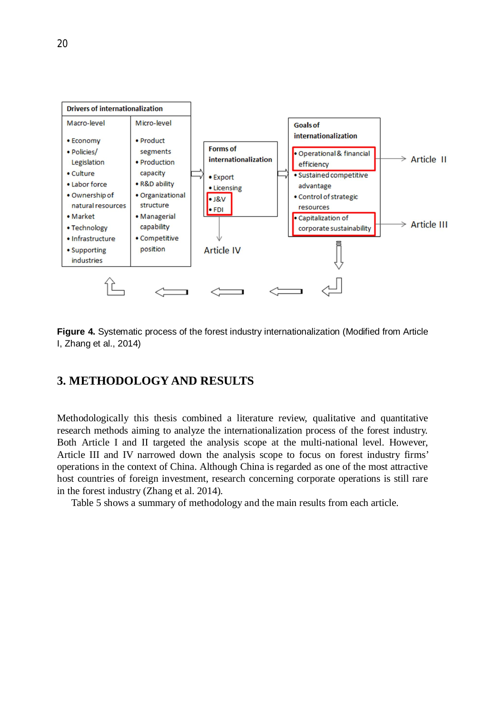

**Figure 4.** Systematic process of the forest industry internationalization (Modified from Article I, Zhang et al., 2014)

# **3. METHODOLOGY AND RESULTS**

Methodologically this thesis combined a literature review, qualitative and quantitative research methods aiming to analyze the internationalization process of the forest industry. Both Article I and II targeted the analysis scope at the multi-national level. However, Article III and IV narrowed down the analysis scope to focus on forest industry firms' operations in the context of China. Although China is regarded as one of the most attractive host countries of foreign investment, research concerning corporate operations is still rare in the forest industry (Zhang et al. 2014).

Table 5 shows a summary of methodology and the main results from each article.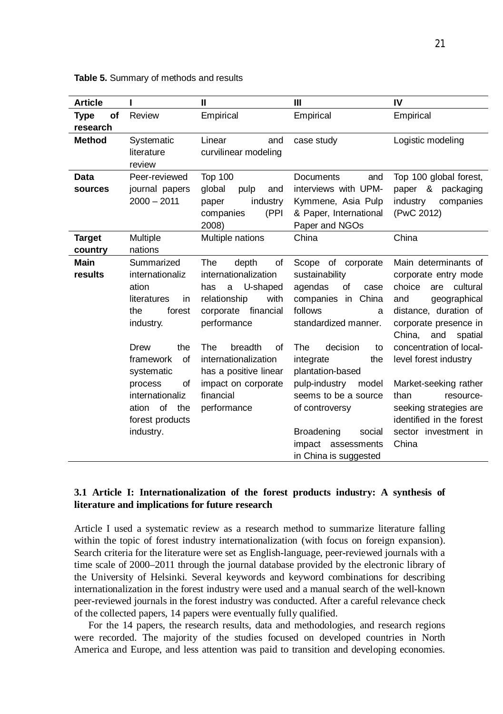| <b>Article</b>           |                                                                                                                                                                                                                                     | $\mathbf{H}$                                                                                                                                                                                                                                                 | Ш                                                                                                                                                                                                                                                                                                                                          | IV                                                                                                                                                                                                                                                                                                                                                                      |
|--------------------------|-------------------------------------------------------------------------------------------------------------------------------------------------------------------------------------------------------------------------------------|--------------------------------------------------------------------------------------------------------------------------------------------------------------------------------------------------------------------------------------------------------------|--------------------------------------------------------------------------------------------------------------------------------------------------------------------------------------------------------------------------------------------------------------------------------------------------------------------------------------------|-------------------------------------------------------------------------------------------------------------------------------------------------------------------------------------------------------------------------------------------------------------------------------------------------------------------------------------------------------------------------|
| of<br>Type<br>research   | Review                                                                                                                                                                                                                              | Empirical                                                                                                                                                                                                                                                    | Empirical                                                                                                                                                                                                                                                                                                                                  | Empirical                                                                                                                                                                                                                                                                                                                                                               |
| <b>Method</b>            | Systematic<br>literature<br>review                                                                                                                                                                                                  | Linear<br>and<br>curvilinear modeling                                                                                                                                                                                                                        | case study                                                                                                                                                                                                                                                                                                                                 | Logistic modeling                                                                                                                                                                                                                                                                                                                                                       |
| Data<br>sources          | Peer-reviewed<br>journal papers<br>$2000 - 2011$                                                                                                                                                                                    | <b>Top 100</b><br>global<br>pulp<br>and<br>industry<br>paper<br>(PPI<br>companies<br>2008)                                                                                                                                                                   | Documents<br>and<br>interviews with UPM-<br>Kymmene, Asia Pulp<br>& Paper, International<br>Paper and NGOs                                                                                                                                                                                                                                 | Top 100 global forest,<br>paper & packaging<br>industry<br>companies<br>(PwC 2012)                                                                                                                                                                                                                                                                                      |
| <b>Target</b><br>country | Multiple<br>nations                                                                                                                                                                                                                 | Multiple nations                                                                                                                                                                                                                                             | China                                                                                                                                                                                                                                                                                                                                      | China                                                                                                                                                                                                                                                                                                                                                                   |
| <b>Main</b><br>results   | Summarized<br>internationaliz<br>ation<br>literatures<br>in<br>the<br>forest<br>industry.<br>Drew<br>the<br>framework<br>0f<br>systematic<br>process<br>of<br>internationaliz<br>of<br>the<br>ation<br>forest products<br>industry. | The<br>depth<br>of<br>internationalization<br>U-shaped<br>has<br>a<br>relationship<br>with<br>corporate financial<br>performance<br>The<br>breadth<br>οf<br>internationalization<br>has a positive linear<br>impact on corporate<br>financial<br>performance | Scope of corporate<br>sustainability<br>οf<br>agendas<br>case<br>companies in<br>China<br>follows<br>a<br>standardized manner.<br>decision<br>The<br>to<br>integrate<br>the<br>plantation-based<br>pulp-industry<br>model<br>seems to be a source<br>of controversy<br>Broadening<br>social<br>impact assessments<br>in China is suggested | Main determinants of<br>corporate entry mode<br>cultural<br>choice<br>are<br>geographical<br>and<br>distance, duration of<br>corporate presence in<br>China.<br>and<br>spatial<br>concentration of local-<br>level forest industry<br>Market-seeking rather<br>than<br>resource-<br>seeking strategies are<br>identified in the forest<br>sector investment in<br>China |

**Table 5.** Summary of methods and results

# **3.1 Article I: Internationalization of the forest products industry: A synthesis of literature and implications for future research**

Article I used a systematic review as a research method to summarize literature falling within the topic of forest industry internationalization (with focus on foreign expansion). Search criteria for the literature were set as English-language, peer-reviewed journals with a time scale of 2000–2011 through the journal database provided by the electronic library of the University of Helsinki. Several keywords and keyword combinations for describing internationalization in the forest industry were used and a manual search of the well-known peer-reviewed journals in the forest industry was conducted. After a careful relevance check of the collected papers, 14 papers were eventually fully qualified.

For the 14 papers, the research results, data and methodologies, and research regions were recorded. The majority of the studies focused on developed countries in North America and Europe, and less attention was paid to transition and developing economies.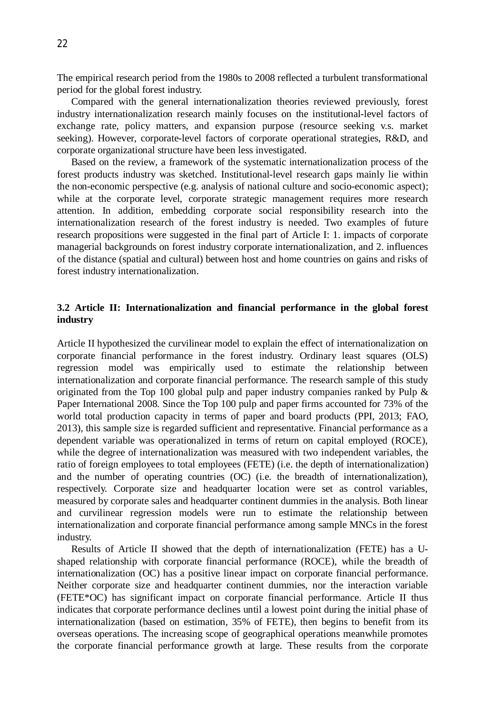The empirical research period from the 1980s to 2008 reflected a turbulent transformational period for the global forest industry.

Compared with the general internationalization theories reviewed previously, forest industry internationalization research mainly focuses on the institutional-level factors of exchange rate, policy matters, and expansion purpose (resource seeking v.s. market seeking). However, corporate-level factors of corporate operational strategies, R&D, and corporate organizational structure have been less investigated.

Based on the review, a framework of the systematic internationalization process of the forest products industry was sketched. Institutional-level research gaps mainly lie within the non-economic perspective (e.g. analysis of national culture and socio-economic aspect); while at the corporate level, corporate strategic management requires more research attention. In addition, embedding corporate social responsibility research into the internationalization research of the forest industry is needed. Two examples of future research propositions were suggested in the final part of Article I: 1. impacts of corporate managerial backgrounds on forest industry corporate internationalization, and 2. influences of the distance (spatial and cultural) between host and home countries on gains and risks of forest industry internationalization.

# **3.2 Article II: Internationalization and financial performance in the global forest industry**

Article II hypothesized the curvilinear model to explain the effect of internationalization on corporate financial performance in the forest industry. Ordinary least squares (OLS) regression model was empirically used to estimate the relationship between internationalization and corporate financial performance. The research sample of this study originated from the Top 100 global pulp and paper industry companies ranked by Pulp & Paper International 2008. Since the Top 100 pulp and paper firms accounted for 73% of the world total production capacity in terms of paper and board products (PPI, 2013; FAO, 2013), this sample size is regarded sufficient and representative. Financial performance as a dependent variable was operationalized in terms of return on capital employed (ROCE), while the degree of internationalization was measured with two independent variables, the ratio of foreign employees to total employees (FETE) (i.e. the depth of internationalization) and the number of operating countries (OC) (i.e. the breadth of internationalization), respectively. Corporate size and headquarter location were set as control variables, measured by corporate sales and headquarter continent dummies in the analysis. Both linear and curvilinear regression models were run to estimate the relationship between internationalization and corporate financial performance among sample MNCs in the forest industry.

Results of Article II showed that the depth of internationalization (FETE) has a Ushaped relationship with corporate financial performance (ROCE), while the breadth of internationalization (OC) has a positive linear impact on corporate financial performance. Neither corporate size and headquarter continent dummies, nor the interaction variable (FETE\*OC) has significant impact on corporate financial performance. Article II thus indicates that corporate performance declines until a lowest point during the initial phase of internationalization (based on estimation, 35% of FETE), then begins to benefit from its overseas operations. The increasing scope of geographical operations meanwhile promotes the corporate financial performance growth at large. These results from the corporate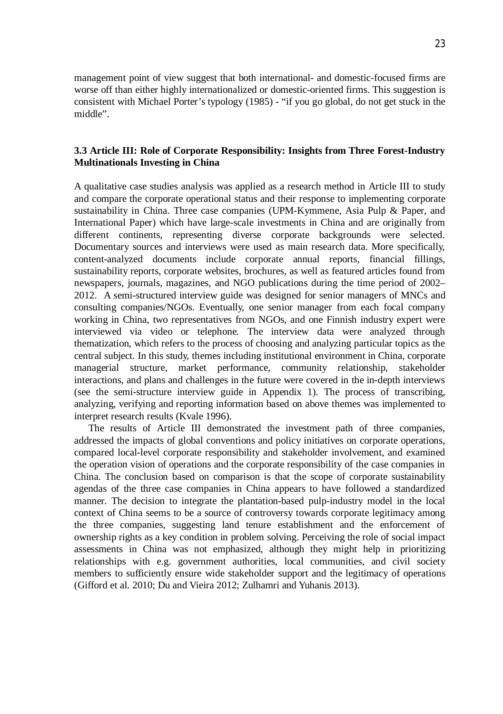management point of view suggest that both international- and domestic-focused firms are worse off than either highly internationalized or domestic-oriented firms. This suggestion is consistent with Michael Porter's typology (1985) - "if you go global, do not get stuck in the middle".

# **3.3 Article III: Role of Corporate Responsibility: Insights from Three Forest-Industry Multinationals Investing in China**

A qualitative case studies analysis was applied as a research method in Article III to study and compare the corporate operational status and their response to implementing corporate sustainability in China. Three case companies (UPM-Kymmene, Asia Pulp & Paper, and International Paper) which have large-scale investments in China and are originally from different continents, representing diverse corporate backgrounds were selected. Documentary sources and interviews were used as main research data. More specifically, content-analyzed documents include corporate annual reports, financial fillings, sustainability reports, corporate websites, brochures, as well as featured articles found from newspapers, journals, magazines, and NGO publications during the time period of 2002– 2012. A semi-structured interview guide was designed for senior managers of MNCs and consulting companies/NGOs. Eventually, one senior manager from each focal company working in China, two representatives from NGOs, and one Finnish industry expert were interviewed via video or telephone. The interview data were analyzed through thematization, which refers to the process of choosing and analyzing particular topics as the central subject. In this study, themes including institutional environment in China, corporate managerial structure, market performance, community relationship, stakeholder interactions, and plans and challenges in the future were covered in the in-depth interviews (see the semi-structure interview guide in Appendix 1). The process of transcribing, analyzing, verifying and reporting information based on above themes was implemented to interpret research results (Kvale 1996).

The results of Article III demonstrated the investment path of three companies, addressed the impacts of global conventions and policy initiatives on corporate operations, compared local-level corporate responsibility and stakeholder involvement, and examined the operation vision of operations and the corporate responsibility of the case companies in China. The conclusion based on comparison is that the scope of corporate sustainability agendas of the three case companies in China appears to have followed a standardized manner. The decision to integrate the plantation-based pulp-industry model in the local context of China seems to be a source of controversy towards corporate legitimacy among the three companies, suggesting land tenure establishment and the enforcement of ownership rights as a key condition in problem solving. Perceiving the role of social impact assessments in China was not emphasized, although they might help in prioritizing relationships with e.g. government authorities, local communities, and civil society members to sufficiently ensure wide stakeholder support and the legitimacy of operations (Gifford et al. 2010; Du and Vieira 2012; Zulhamri and Yuhanis 2013).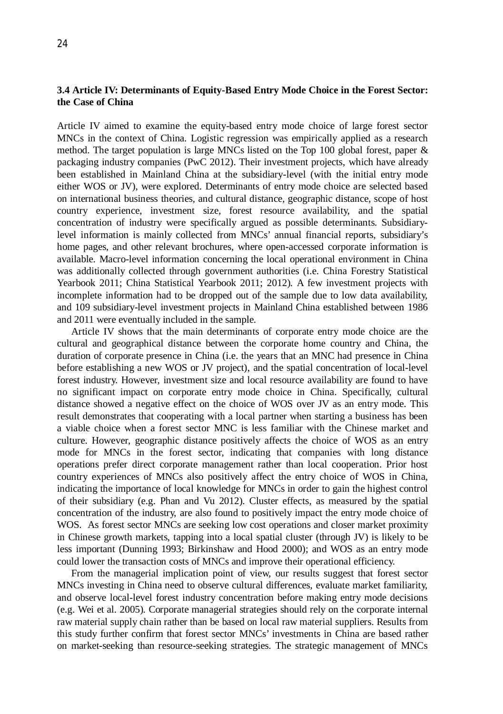# **3.4 Article IV: Determinants of Equity-Based Entry Mode Choice in the Forest Sector: the Case of China**

Article IV aimed to examine the equity-based entry mode choice of large forest sector MNCs in the context of China. Logistic regression was empirically applied as a research method. The target population is large MNCs listed on the Top 100 global forest, paper & packaging industry companies (PwC 2012). Their investment projects, which have already been established in Mainland China at the subsidiary-level (with the initial entry mode either WOS or JV), were explored. Determinants of entry mode choice are selected based on international business theories, and cultural distance, geographic distance, scope of host country experience, investment size, forest resource availability, and the spatial concentration of industry were specifically argued as possible determinants. Subsidiarylevel information is mainly collected from MNCs' annual financial reports, subsidiary's home pages, and other relevant brochures, where open-accessed corporate information is available. Macro-level information concerning the local operational environment in China was additionally collected through government authorities (i.e. China Forestry Statistical Yearbook 2011; China Statistical Yearbook 2011; 2012). A few investment projects with incomplete information had to be dropped out of the sample due to low data availability, and 109 subsidiary-level investment projects in Mainland China established between 1986 and 2011 were eventually included in the sample.

Article IV shows that the main determinants of corporate entry mode choice are the cultural and geographical distance between the corporate home country and China, the duration of corporate presence in China (i.e. the years that an MNC had presence in China before establishing a new WOS or JV project), and the spatial concentration of local-level forest industry. However, investment size and local resource availability are found to have no significant impact on corporate entry mode choice in China. Specifically, cultural distance showed a negative effect on the choice of WOS over JV as an entry mode. This result demonstrates that cooperating with a local partner when starting a business has been a viable choice when a forest sector MNC is less familiar with the Chinese market and culture. However, geographic distance positively affects the choice of WOS as an entry mode for MNCs in the forest sector, indicating that companies with long distance operations prefer direct corporate management rather than local cooperation. Prior host country experiences of MNCs also positively affect the entry choice of WOS in China, indicating the importance of local knowledge for MNCs in order to gain the highest control of their subsidiary (e.g. Phan and Vu 2012). Cluster effects, as measured by the spatial concentration of the industry, are also found to positively impact the entry mode choice of WOS. As forest sector MNCs are seeking low cost operations and closer market proximity in Chinese growth markets, tapping into a local spatial cluster (through JV) is likely to be less important (Dunning 1993; Birkinshaw and Hood 2000); and WOS as an entry mode could lower the transaction costs of MNCs and improve their operational efficiency.

From the managerial implication point of view, our results suggest that forest sector MNCs investing in China need to observe cultural differences, evaluate market familiarity, and observe local-level forest industry concentration before making entry mode decisions (e.g. Wei et al. 2005). Corporate managerial strategies should rely on the corporate internal raw material supply chain rather than be based on local raw material suppliers. Results from this study further confirm that forest sector MNCs' investments in China are based rather on market-seeking than resource-seeking strategies. The strategic management of MNCs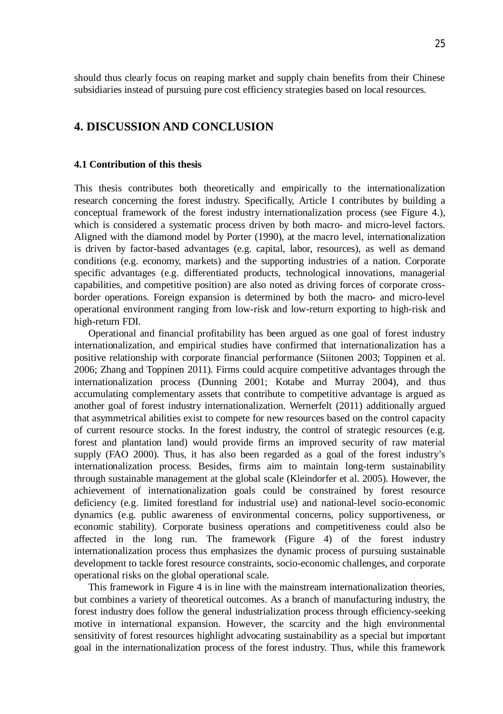should thus clearly focus on reaping market and supply chain benefits from their Chinese subsidiaries instead of pursuing pure cost efficiency strategies based on local resources.

# **4. DISCUSSION AND CONCLUSION**

#### **4.1 Contribution of this thesis**

This thesis contributes both theoretically and empirically to the internationalization research concerning the forest industry. Specifically, Article I contributes by building a conceptual framework of the forest industry internationalization process (see Figure 4.), which is considered a systematic process driven by both macro- and micro-level factors. Aligned with the diamond model by Porter (1990), at the macro level, internationalization is driven by factor-based advantages (e.g. capital, labor, resources), as well as demand conditions (e.g. economy, markets) and the supporting industries of a nation. Corporate specific advantages (e.g. differentiated products, technological innovations, managerial capabilities, and competitive position) are also noted as driving forces of corporate crossborder operations. Foreign expansion is determined by both the macro- and micro-level operational environment ranging from low-risk and low-return exporting to high-risk and high-return FDI.

Operational and financial profitability has been argued as one goal of forest industry internationalization, and empirical studies have confirmed that internationalization has a positive relationship with corporate financial performance (Siitonen 2003; Toppinen et al. 2006; Zhang and Toppinen 2011). Firms could acquire competitive advantages through the internationalization process (Dunning 2001; Kotabe and Murray 2004), and thus accumulating complementary assets that contribute to competitive advantage is argued as another goal of forest industry internationalization. Wernerfelt (2011) additionally argued that asymmetrical abilities exist to compete for new resources based on the control capacity of current resource stocks. In the forest industry, the control of strategic resources (e.g. forest and plantation land) would provide firms an improved security of raw material supply (FAO 2000). Thus, it has also been regarded as a goal of the forest industry's internationalization process. Besides, firms aim to maintain long-term sustainability through sustainable management at the global scale (Kleindorfer et al. 2005). However, the achievement of internationalization goals could be constrained by forest resource deficiency (e.g. limited forestland for industrial use) and national-level socio-economic dynamics (e.g. public awareness of environmental concerns, policy supportiveness, or economic stability). Corporate business operations and competitiveness could also be affected in the long run. The framework (Figure 4) of the forest industry internationalization process thus emphasizes the dynamic process of pursuing sustainable development to tackle forest resource constraints, socio-economic challenges, and corporate operational risks on the global operational scale.

This framework in Figure 4 is in line with the mainstream internationalization theories, but combines a variety of theoretical outcomes. As a branch of manufacturing industry, the forest industry does follow the general industrialization process through efficiency-seeking motive in international expansion. However, the scarcity and the high environmental sensitivity of forest resources highlight advocating sustainability as a special but important goal in the internationalization process of the forest industry. Thus, while this framework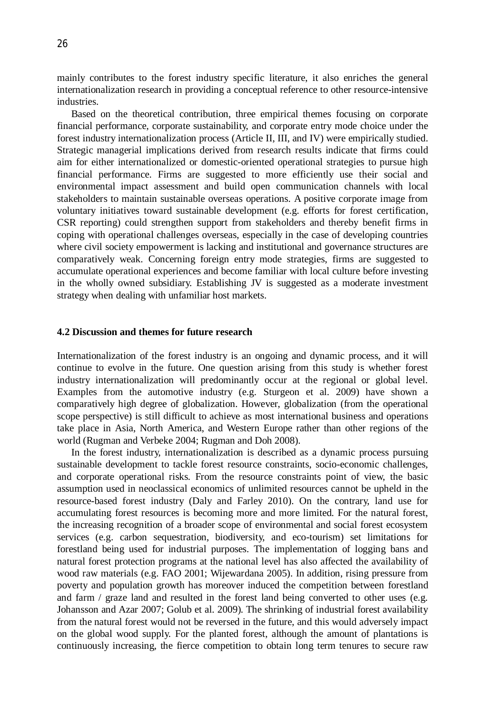mainly contributes to the forest industry specific literature, it also enriches the general internationalization research in providing a conceptual reference to other resource-intensive industries.

Based on the theoretical contribution, three empirical themes focusing on corporate financial performance, corporate sustainability, and corporate entry mode choice under the forest industry internationalization process (Article II, III, and IV) were empirically studied. Strategic managerial implications derived from research results indicate that firms could aim for either internationalized or domestic-oriented operational strategies to pursue high financial performance. Firms are suggested to more efficiently use their social and environmental impact assessment and build open communication channels with local stakeholders to maintain sustainable overseas operations. A positive corporate image from voluntary initiatives toward sustainable development (e.g. efforts for forest certification, CSR reporting) could strengthen support from stakeholders and thereby benefit firms in coping with operational challenges overseas, especially in the case of developing countries where civil society empowerment is lacking and institutional and governance structures are comparatively weak. Concerning foreign entry mode strategies, firms are suggested to accumulate operational experiences and become familiar with local culture before investing in the wholly owned subsidiary. Establishing JV is suggested as a moderate investment strategy when dealing with unfamiliar host markets.

## **4.2 Discussion and themes for future research**

Internationalization of the forest industry is an ongoing and dynamic process, and it will continue to evolve in the future. One question arising from this study is whether forest industry internationalization will predominantly occur at the regional or global level. Examples from the automotive industry (e.g. Sturgeon et al. 2009) have shown a comparatively high degree of globalization. However, globalization (from the operational scope perspective) is still difficult to achieve as most international business and operations take place in Asia, North America, and Western Europe rather than other regions of the world (Rugman and Verbeke 2004; Rugman and Doh 2008).

In the forest industry, internationalization is described as a dynamic process pursuing sustainable development to tackle forest resource constraints, socio-economic challenges, and corporate operational risks. From the resource constraints point of view, the basic assumption used in neoclassical economics of unlimited resources cannot be upheld in the resource-based forest industry (Daly and Farley 2010). On the contrary, land use for accumulating forest resources is becoming more and more limited. For the natural forest, the increasing recognition of a broader scope of environmental and social forest ecosystem services (e.g. carbon sequestration, biodiversity, and eco-tourism) set limitations for forestland being used for industrial purposes. The implementation of logging bans and natural forest protection programs at the national level has also affected the availability of wood raw materials (e.g. FAO 2001; Wijewardana 2005). In addition, rising pressure from poverty and population growth has moreover induced the competition between forestland and farm / graze land and resulted in the forest land being converted to other uses (e.g. Johansson and Azar 2007; Golub et al. 2009). The shrinking of industrial forest availability from the natural forest would not be reversed in the future, and this would adversely impact on the global wood supply. For the planted forest, although the amount of plantations is continuously increasing, the fierce competition to obtain long term tenures to secure raw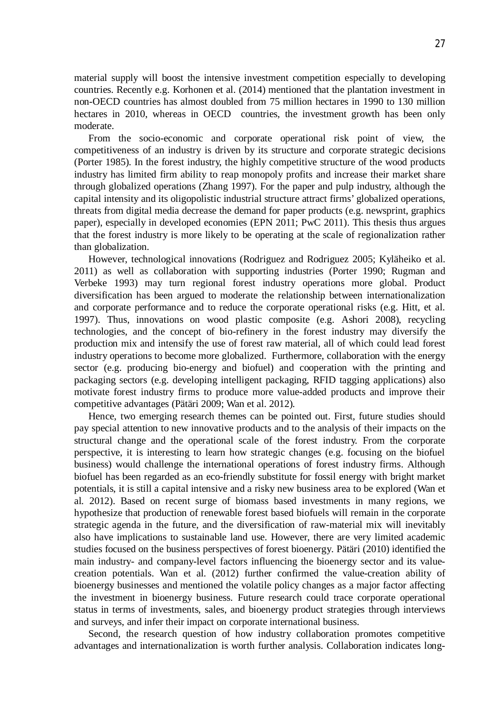material supply will boost the intensive investment competition especially to developing countries. Recently e.g. Korhonen et al. (2014) mentioned that the plantation investment in non-OECD countries has almost doubled from 75 million hectares in 1990 to 130 million hectares in 2010, whereas in OECD countries, the investment growth has been only moderate.

From the socio-economic and corporate operational risk point of view, the competitiveness of an industry is driven by its structure and corporate strategic decisions (Porter 1985). In the forest industry, the highly competitive structure of the wood products industry has limited firm ability to reap monopoly profits and increase their market share through globalized operations (Zhang 1997). For the paper and pulp industry, although the capital intensity and its oligopolistic industrial structure attract firms' globalized operations, threats from digital media decrease the demand for paper products (e.g. newsprint, graphics paper), especially in developed economies (EPN 2011; PwC 2011). This thesis thus argues that the forest industry is more likely to be operating at the scale of regionalization rather than globalization.

However, technological innovations (Rodriguez and Rodriguez 2005; Kyläheiko et al. 2011) as well as collaboration with supporting industries (Porter 1990; Rugman and Verbeke 1993) may turn regional forest industry operations more global. Product diversification has been argued to moderate the relationship between internationalization and corporate performance and to reduce the corporate operational risks (e.g. Hitt, et al. 1997). Thus, innovations on wood plastic composite (e.g. Ashori 2008), recycling technologies, and the concept of bio-refinery in the forest industry may diversify the production mix and intensify the use of forest raw material, all of which could lead forest industry operations to become more globalized. Furthermore, collaboration with the energy sector (e.g. producing bio-energy and biofuel) and cooperation with the printing and packaging sectors (e.g. developing intelligent packaging, RFID tagging applications) also motivate forest industry firms to produce more value-added products and improve their competitive advantages (Pätäri 2009; Wan et al. 2012).

Hence, two emerging research themes can be pointed out. First, future studies should pay special attention to new innovative products and to the analysis of their impacts on the structural change and the operational scale of the forest industry. From the corporate perspective, it is interesting to learn how strategic changes (e.g. focusing on the biofuel business) would challenge the international operations of forest industry firms. Although biofuel has been regarded as an eco-friendly substitute for fossil energy with bright market potentials, it is still a capital intensive and a risky new business area to be explored (Wan et al. 2012). Based on recent surge of biomass based investments in many regions, we hypothesize that production of renewable forest based biofuels will remain in the corporate strategic agenda in the future, and the diversification of raw-material mix will inevitably also have implications to sustainable land use. However, there are very limited academic studies focused on the business perspectives of forest bioenergy. Pätäri (2010) identified the main industry- and company-level factors influencing the bioenergy sector and its valuecreation potentials. Wan et al. (2012) further confirmed the value-creation ability of bioenergy businesses and mentioned the volatile policy changes as a major factor affecting the investment in bioenergy business. Future research could trace corporate operational status in terms of investments, sales, and bioenergy product strategies through interviews and surveys, and infer their impact on corporate international business.

Second, the research question of how industry collaboration promotes competitive advantages and internationalization is worth further analysis. Collaboration indicates long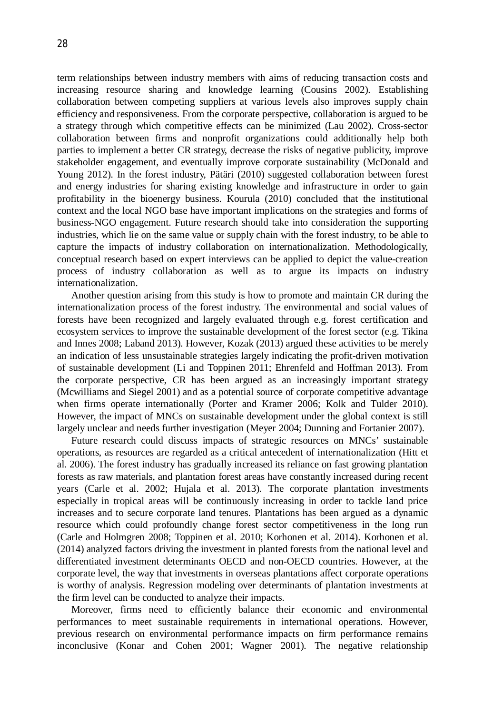term relationships between industry members with aims of reducing transaction costs and increasing resource sharing and knowledge learning (Cousins 2002). Establishing collaboration between competing suppliers at various levels also improves supply chain efficiency and responsiveness. From the corporate perspective, collaboration is argued to be a strategy through which competitive effects can be minimized (Lau 2002). Cross-sector collaboration between firms and nonprofit organizations could additionally help both parties to implement a better CR strategy, decrease the risks of negative publicity, improve stakeholder engagement, and eventually improve corporate sustainability (McDonald and Young 2012). In the forest industry, Pätäri (2010) suggested collaboration between forest and energy industries for sharing existing knowledge and infrastructure in order to gain profitability in the bioenergy business. Kourula (2010) concluded that the institutional context and the local NGO base have important implications on the strategies and forms of business-NGO engagement. Future research should take into consideration the supporting industries, which lie on the same value or supply chain with the forest industry, to be able to capture the impacts of industry collaboration on internationalization. Methodologically, conceptual research based on expert interviews can be applied to depict the value-creation process of industry collaboration as well as to argue its impacts on industry internationalization.

Another question arising from this study is how to promote and maintain CR during the internationalization process of the forest industry. The environmental and social values of forests have been recognized and largely evaluated through e.g. forest certification and ecosystem services to improve the sustainable development of the forest sector (e.g. Tikina and Innes 2008; Laband 2013). However, Kozak (2013) argued these activities to be merely an indication of less unsustainable strategies largely indicating the profit-driven motivation of sustainable development (Li and Toppinen 2011; Ehrenfeld and Hoffman 2013). From the corporate perspective, CR has been argued as an increasingly important strategy (Mcwilliams and Siegel 2001) and as a potential source of corporate competitive advantage when firms operate internationally (Porter and Kramer 2006; Kolk and Tulder 2010). However, the impact of MNCs on sustainable development under the global context is still largely unclear and needs further investigation (Meyer 2004; Dunning and Fortanier 2007).

Future research could discuss impacts of strategic resources on MNCs' sustainable operations, as resources are regarded as a critical antecedent of internationalization (Hitt et al. 2006). The forest industry has gradually increased its reliance on fast growing plantation forests as raw materials, and plantation forest areas have constantly increased during recent years (Carle et al. 2002; Hujala et al. 2013). The corporate plantation investments especially in tropical areas will be continuously increasing in order to tackle land price increases and to secure corporate land tenures. Plantations has been argued as a dynamic resource which could profoundly change forest sector competitiveness in the long run (Carle and Holmgren 2008; Toppinen et al. 2010; Korhonen et al. 2014). Korhonen et al. (2014) analyzed factors driving the investment in planted forests from the national level and differentiated investment determinants OECD and non-OECD countries. However, at the corporate level, the way that investments in overseas plantations affect corporate operations is worthy of analysis. Regression modeling over determinants of plantation investments at the firm level can be conducted to analyze their impacts.

Moreover, firms need to efficiently balance their economic and environmental performances to meet sustainable requirements in international operations. However, previous research on environmental performance impacts on firm performance remains inconclusive (Konar and Cohen 2001; Wagner 2001). The negative relationship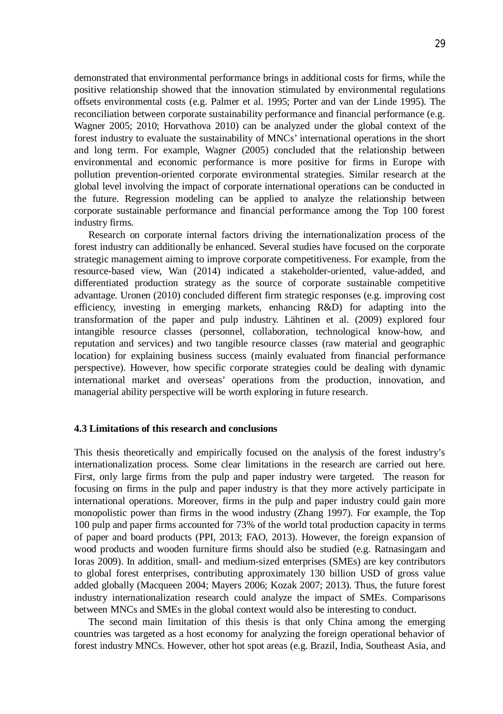demonstrated that environmental performance brings in additional costs for firms, while the positive relationship showed that the innovation stimulated by environmental regulations offsets environmental costs (e.g. Palmer et al. 1995; Porter and van der Linde 1995). The reconciliation between corporate sustainability performance and financial performance (e.g. Wagner 2005; 2010; Horvathova 2010) can be analyzed under the global context of the forest industry to evaluate the sustainability of MNCs' international operations in the short and long term. For example, Wagner (2005) concluded that the relationship between environmental and economic performance is more positive for firms in Europe with pollution prevention-oriented corporate environmental strategies. Similar research at the global level involving the impact of corporate international operations can be conducted in the future. Regression modeling can be applied to analyze the relationship between corporate sustainable performance and financial performance among the Top 100 forest industry firms.

Research on corporate internal factors driving the internationalization process of the forest industry can additionally be enhanced. Several studies have focused on the corporate strategic management aiming to improve corporate competitiveness. For example, from the resource-based view, Wan (2014) indicated a stakeholder-oriented, value-added, and differentiated production strategy as the source of corporate sustainable competitive advantage. Uronen (2010) concluded different firm strategic responses (e.g. improving cost efficiency, investing in emerging markets, enhancing R&D) for adapting into the transformation of the paper and pulp industry. Lähtinen et al. (2009) explored four intangible resource classes (personnel, collaboration, technological know-how, and reputation and services) and two tangible resource classes (raw material and geographic location) for explaining business success (mainly evaluated from financial performance perspective). However, how specific corporate strategies could be dealing with dynamic international market and overseas' operations from the production, innovation, and managerial ability perspective will be worth exploring in future research.

#### **4.3 Limitations of this research and conclusions**

This thesis theoretically and empirically focused on the analysis of the forest industry's internationalization process. Some clear limitations in the research are carried out here. First, only large firms from the pulp and paper industry were targeted. The reason for focusing on firms in the pulp and paper industry is that they more actively participate in international operations. Moreover, firms in the pulp and paper industry could gain more monopolistic power than firms in the wood industry (Zhang 1997). For example, the Top 100 pulp and paper firms accounted for 73% of the world total production capacity in terms of paper and board products (PPI, 2013; FAO, 2013). However, the foreign expansion of wood products and wooden furniture firms should also be studied (e.g. Ratnasingam and Ioras 2009). In addition, small- and medium-sized enterprises (SMEs) are key contributors to global forest enterprises, contributing approximately 130 billion USD of gross value added globally (Macqueen 2004; Mayers 2006; Kozak 2007; 2013). Thus, the future forest industry internationalization research could analyze the impact of SMEs. Comparisons between MNCs and SMEs in the global context would also be interesting to conduct.

The second main limitation of this thesis is that only China among the emerging countries was targeted as a host economy for analyzing the foreign operational behavior of forest industry MNCs. However, other hot spot areas (e.g. Brazil, India, Southeast Asia, and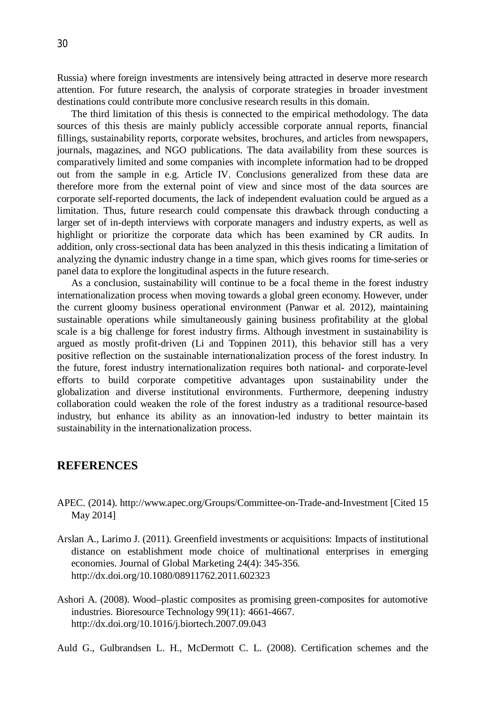Russia) where foreign investments are intensively being attracted in deserve more research attention. For future research, the analysis of corporate strategies in broader investment destinations could contribute more conclusive research results in this domain.

The third limitation of this thesis is connected to the empirical methodology. The data sources of this thesis are mainly publicly accessible corporate annual reports, financial fillings, sustainability reports, corporate websites, brochures, and articles from newspapers, journals, magazines, and NGO publications. The data availability from these sources is comparatively limited and some companies with incomplete information had to be dropped out from the sample in e.g. Article IV. Conclusions generalized from these data are therefore more from the external point of view and since most of the data sources are corporate self-reported documents, the lack of independent evaluation could be argued as a limitation. Thus, future research could compensate this drawback through conducting a larger set of in-depth interviews with corporate managers and industry experts, as well as highlight or prioritize the corporate data which has been examined by CR audits. In addition, only cross-sectional data has been analyzed in this thesis indicating a limitation of analyzing the dynamic industry change in a time span, which gives rooms for time-series or panel data to explore the longitudinal aspects in the future research.

As a conclusion, sustainability will continue to be a focal theme in the forest industry internationalization process when moving towards a global green economy. However, under the current gloomy business operational environment (Panwar et al. 2012), maintaining sustainable operations while simultaneously gaining business profitability at the global scale is a big challenge for forest industry firms. Although investment in sustainability is argued as mostly profit-driven (Li and Toppinen 2011), this behavior still has a very positive reflection on the sustainable internationalization process of the forest industry. In the future, forest industry internationalization requires both national- and corporate-level efforts to build corporate competitive advantages upon sustainability under the globalization and diverse institutional environments. Furthermore, deepening industry collaboration could weaken the role of the forest industry as a traditional resource-based industry, but enhance its ability as an innovation-led industry to better maintain its sustainability in the internationalization process.

# **REFERENCES**

- APEC. (2014). http://www.apec.org/Groups/Committee-on-Trade-and-Investment [Cited 15 May 2014]
- Arslan A., Larimo J. (2011). Greenfield investments or acquisitions: Impacts of institutional distance on establishment mode choice of multinational enterprises in emerging economies. Journal of Global Marketing 24(4): 345-356. http://dx.doi.org/10.1080/08911762.2011.602323
- Ashori A. (2008). Wood–plastic composites as promising green-composites for automotive industries. Bioresource Technology 99(11): 4661-4667. http://dx.doi.org/10.1016/j.biortech.2007.09.043

Auld G., Gulbrandsen L. H., McDermott C. L. (2008). Certification schemes and the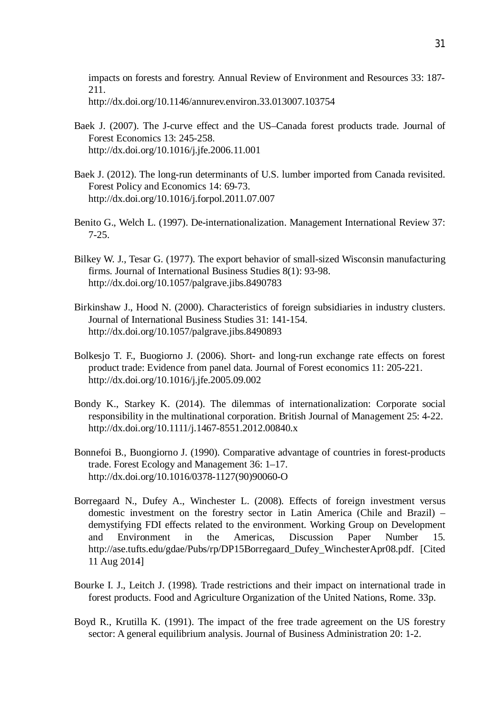impacts on forests and forestry. Annual Review of Environment and Resources 33: 187- 211. http://dx.doi.org/10.1146/annurev.environ.33.013007.103754

- Baek J. (2007). The J-curve effect and the US–Canada forest products trade. Journal of Forest Economics 13: 245-258. http://dx.doi.org/10.1016/j.jfe.2006.11.001
- Baek J. (2012). The long-run determinants of U.S. lumber imported from Canada revisited. Forest Policy and Economics 14: 69-73. http://dx.doi.org/10.1016/j.forpol.2011.07.007
- Benito G., Welch L. (1997). De-internationalization. Management International Review 37: 7-25.
- Bilkey W. J., Tesar G. (1977). The export behavior of small-sized Wisconsin manufacturing firms. Journal of International Business Studies 8(1): 93-98. http://dx.doi.org/10.1057/palgrave.jibs.8490783
- Birkinshaw J., Hood N. (2000). Characteristics of foreign subsidiaries in industry clusters. Journal of International Business Studies 31: 141-154. http://dx.doi.org/10.1057/palgrave.jibs.8490893
- Bolkesjo T. F., Buogiorno J. (2006). Short- and long-run exchange rate effects on forest product trade: Evidence from panel data. Journal of Forest economics 11: 205-221. http://dx.doi.org/10.1016/j.jfe.2005.09.002
- Bondy K., Starkey K. (2014). The dilemmas of internationalization: Corporate social responsibility in the multinational corporation. British Journal of Management 25: 4-22. http://dx.doi.org/10.1111/j.1467-8551.2012.00840.x
- Bonnefoi B., Buongiorno J. (1990). Comparative advantage of countries in forest-products trade. Forest Ecology and Management 36: 1–17. http://dx.doi.org/10.1016/0378-1127(90)90060-O
- Borregaard N., Dufey A., Winchester L. (2008). Effects of foreign investment versus domestic investment on the forestry sector in Latin America (Chile and Brazil) – demystifying FDI effects related to the environment. Working Group on Development and Environment in the Americas, Discussion Paper Number 15. http://ase.tufts.edu/gdae/Pubs/rp/DP15Borregaard\_Dufey\_WinchesterApr08.pdf. [Cited 11 Aug 2014]
- Bourke I. J., Leitch J. (1998). Trade restrictions and their impact on international trade in forest products. Food and Agriculture Organization of the United Nations, Rome. 33p.
- Boyd R., Krutilla K. (1991). The impact of the free trade agreement on the US forestry sector: A general equilibrium analysis. Journal of Business Administration 20: 1-2.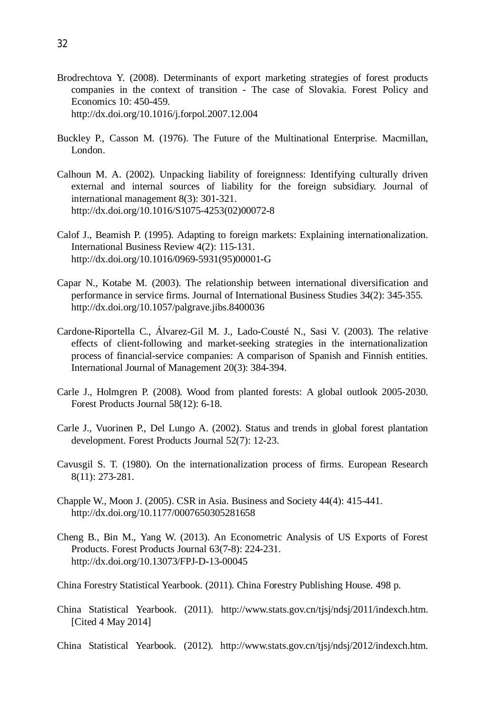- Brodrechtova Y. (2008). Determinants of export marketing strategies of forest products companies in the context of transition - The case of Slovakia. Forest Policy and Economics 10: 450-459. http://dx.doi.org/10.1016/j.forpol.2007.12.004
- Buckley P., Casson M. (1976). The Future of the Multinational Enterprise. Macmillan, London.
- Calhoun M. A. (2002). Unpacking liability of foreignness: Identifying culturally driven external and internal sources of liability for the foreign subsidiary. Journal of international management 8(3): 301-321. http://dx.doi.org/10.1016/S1075-4253(02)00072-8
- Calof J., Beamish P. (1995). Adapting to foreign markets: Explaining internationalization. International Business Review 4(2): 115-131. http://dx.doi.org/10.1016/0969-5931(95)00001-G
- Capar N., Kotabe M. (2003). The relationship between international diversification and performance in service firms. Journal of International Business Studies 34(2): 345-355. http://dx.doi.org/10.1057/palgrave.jibs.8400036
- Cardone-Riportella C., Álvarez-Gil M. J., Lado-Cousté N., Sasi V. (2003). The relative effects of client-following and market-seeking strategies in the internationalization process of financial-service companies: A comparison of Spanish and Finnish entities. International Journal of Management 20(3): 384-394.
- Carle J., Holmgren P. (2008). Wood from planted forests: A global outlook 2005-2030. Forest Products Journal 58(12): 6-18.
- Carle J., Vuorinen P., Del Lungo A. (2002). Status and trends in global forest plantation development. Forest Products Journal 52(7): 12-23.
- Cavusgil S. T. (1980). On the internationalization process of firms. European Research 8(11): 273-281.
- Chapple W., Moon J. (2005). CSR in Asia. Business and Society 44(4): 415-441. http://dx.doi.org/10.1177/0007650305281658
- Cheng B., Bin M., Yang W. (2013). An Econometric Analysis of US Exports of Forest Products. Forest Products Journal 63(7-8): 224-231. http://dx.doi.org/10.13073/FPJ-D-13-00045

China Forestry Statistical Yearbook. (2011). China Forestry Publishing House. 498 p.

- China Statistical Yearbook. (2011). http://www.stats.gov.cn/tjsj/ndsj/2011/indexch.htm. [Cited 4 May 2014]
- China Statistical Yearbook. (2012). http://www.stats.gov.cn/tjsj/ndsj/2012/indexch.htm.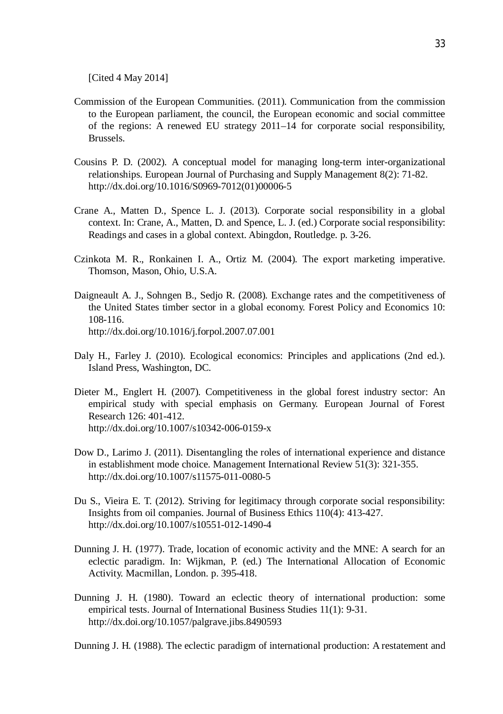[Cited 4 May 2014]

- Commission of the European Communities. (2011). Communication from the commission to the European parliament, the council, the European economic and social committee of the regions: A renewed EU strategy 2011–14 for corporate social responsibility, Brussels.
- Cousins P. D. (2002). A conceptual model for managing long-term inter-organizational relationships. European Journal of Purchasing and Supply Management 8(2): 71-82. http://dx.doi.org/10.1016/S0969-7012(01)00006-5
- Crane A., Matten D., Spence L. J. (2013). Corporate social responsibility in a global context. In: Crane, A., Matten, D. and Spence, L. J. (ed.) Corporate social responsibility: Readings and cases in a global context. Abingdon, Routledge. p. 3-26.
- Czinkota M. R., Ronkainen I. A., Ortiz M. (2004). The export marketing imperative. Thomson, Mason, Ohio, U.S.A.
- Daigneault A. J., Sohngen B., Sedjo R. (2008). Exchange rates and the competitiveness of the United States timber sector in a global economy. Forest Policy and Economics 10: 108-116. http://dx.doi.org/10.1016/j.forpol.2007.07.001
- Daly H., Farley J. (2010). Ecological economics: Principles and applications (2nd ed.). Island Press, Washington, DC.
- Dieter M., Englert H. (2007). Competitiveness in the global forest industry sector: An empirical study with special emphasis on Germany. European Journal of Forest Research 126: 401-412. http://dx.doi.org/10.1007/s10342-006-0159-x
- Dow D., Larimo J. (2011). Disentangling the roles of international experience and distance in establishment mode choice. Management International Review 51(3): 321-355. http://dx.doi.org/10.1007/s11575-011-0080-5
- Du S., Vieira E. T. (2012). Striving for legitimacy through corporate social responsibility: Insights from oil companies. Journal of Business Ethics 110(4): 413-427. http://dx.doi.org/10.1007/s10551-012-1490-4
- Dunning J. H. (1977). Trade, location of economic activity and the MNE: A search for an eclectic paradigm. In: Wijkman, P. (ed.) The International Allocation of Economic Activity. Macmillan, London. p. 395-418.
- Dunning J. H. (1980). Toward an eclectic theory of international production: some empirical tests. Journal of International Business Studies 11(1): 9-31. http://dx.doi.org/10.1057/palgrave.jibs.8490593

Dunning J. H. (1988). The eclectic paradigm of international production: A restatement and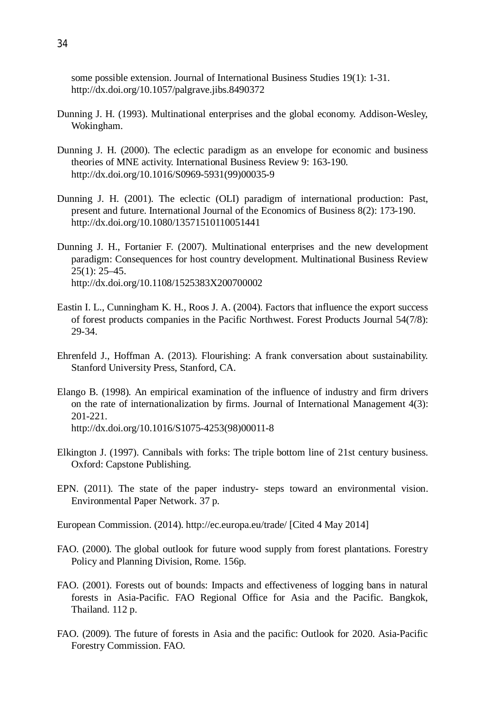some possible extension. Journal of International Business Studies 19(1): 1-31. http://dx.doi.org/10.1057/palgrave.jibs.8490372

- Dunning J. H. (1993). Multinational enterprises and the global economy. Addison-Wesley, Wokingham.
- Dunning J. H. (2000). The eclectic paradigm as an envelope for economic and business theories of MNE activity. International Business Review 9: 163-190. http://dx.doi.org/10.1016/S0969-5931(99)00035-9
- Dunning J. H. (2001). The eclectic (OLI) paradigm of international production: Past, present and future. International Journal of the Economics of Business 8(2): 173-190. http://dx.doi.org/10.1080/13571510110051441
- Dunning J. H., Fortanier F. (2007). Multinational enterprises and the new development paradigm: Consequences for host country development. Multinational Business Review 25(1): 25–45. http://dx.doi.org/10.1108/1525383X200700002
- Eastin I. L., Cunningham K. H., Roos J. A. (2004). Factors that influence the export success of forest products companies in the Pacific Northwest. Forest Products Journal 54(7/8): 29-34.
- Ehrenfeld J., Hoffman A. (2013). Flourishing: A frank conversation about sustainability. Stanford University Press, Stanford, CA.
- Elango B. (1998). An empirical examination of the influence of industry and firm drivers on the rate of internationalization by firms. Journal of International Management 4(3): 201-221. http://dx.doi.org/10.1016/S1075-4253(98)00011-8
- Elkington J. (1997). Cannibals with forks: The triple bottom line of 21st century business. Oxford: Capstone Publishing.
- EPN. (2011). The state of the paper industry- steps toward an environmental vision. Environmental Paper Network. 37 p.
- European Commission. (2014). http://ec.europa.eu/trade/ [Cited 4 May 2014]
- FAO. (2000). The global outlook for future wood supply from forest plantations. Forestry Policy and Planning Division, Rome. 156p.
- FAO. (2001). Forests out of bounds: Impacts and effectiveness of logging bans in natural forests in Asia-Pacific. FAO Regional Office for Asia and the Pacific. Bangkok, Thailand. 112 p.
- FAO. (2009). The future of forests in Asia and the pacific: Outlook for 2020. Asia-Pacific Forestry Commission. FAO.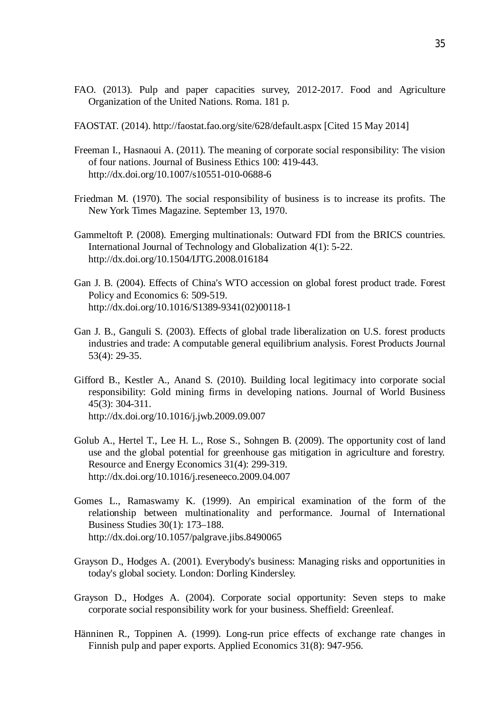- FAO. (2013). Pulp and paper capacities survey, 2012-2017. Food and Agriculture Organization of the United Nations. Roma. 181 p.
- FAOSTAT. (2014). http://faostat.fao.org/site/628/default.aspx [Cited 15 May 2014]
- Freeman I., Hasnaoui A. (2011). The meaning of corporate social responsibility: The vision of four nations. Journal of Business Ethics 100: 419-443. http://dx.doi.org/10.1007/s10551-010-0688-6
- Friedman M. (1970). The social responsibility of business is to increase its profits. The New York Times Magazine. September 13, 1970.
- Gammeltoft P. (2008). Emerging multinationals: Outward FDI from the BRICS countries. International Journal of Technology and Globalization 4(1): 5-22. http://dx.doi.org/10.1504/IJTG.2008.016184
- Gan J. B. (2004). Effects of China's WTO accession on global forest product trade. Forest Policy and Economics 6: 509-519. http://dx.doi.org/10.1016/S1389-9341(02)00118-1
- Gan J. B., Ganguli S. (2003). Effects of global trade liberalization on U.S. forest products industries and trade: A computable general equilibrium analysis. Forest Products Journal 53(4): 29-35.
- Gifford B., Kestler A., Anand S. (2010). Building local legitimacy into corporate social responsibility: Gold mining firms in developing nations. Journal of World Business 45(3): 304-311. http://dx.doi.org/10.1016/j.jwb.2009.09.007
- Golub A., Hertel T., Lee H. L., Rose S., Sohngen B. (2009). The opportunity cost of land use and the global potential for greenhouse gas mitigation in agriculture and forestry. Resource and Energy Economics 31(4): 299-319. http://dx.doi.org/10.1016/j.reseneeco.2009.04.007
- Gomes L., Ramaswamy K. (1999). An empirical examination of the form of the relationship between multinationality and performance. Journal of International Business Studies 30(1): 173–188. http://dx.doi.org/10.1057/palgrave.jibs.8490065
- Grayson D., Hodges A. (2001). Everybody's business: Managing risks and opportunities in today's global society. London: Dorling Kindersley.
- Grayson D., Hodges A. (2004). Corporate social opportunity: Seven steps to make corporate social responsibility work for your business. Sheffield: Greenleaf.
- Hänninen R., Toppinen A. (1999). Long-run price effects of exchange rate changes in Finnish pulp and paper exports. Applied Economics 31(8): 947-956.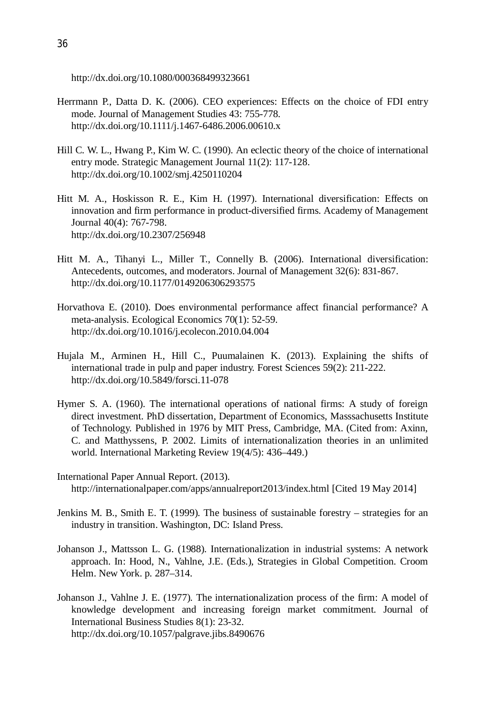http://dx.doi.org/10.1080/000368499323661

- Herrmann P., Datta D. K. (2006). CEO experiences: Effects on the choice of FDI entry mode. Journal of Management Studies 43: 755-778. http://dx.doi.org/10.1111/j.1467-6486.2006.00610.x
- Hill C. W. L., Hwang P., Kim W. C. (1990). An eclectic theory of the choice of international entry mode. Strategic Management Journal 11(2): 117-128. http://dx.doi.org/10.1002/smj.4250110204
- Hitt M. A., Hoskisson R. E., Kim H. (1997). International diversification: Effects on innovation and firm performance in product-diversified firms. Academy of Management Journal 40(4): 767-798. http://dx.doi.org/10.2307/256948
- Hitt M. A., Tihanyi L., Miller T., Connelly B. (2006). International diversification: Antecedents, outcomes, and moderators. Journal of Management 32(6): 831-867. http://dx.doi.org/10.1177/0149206306293575
- Horvathova E. (2010). Does environmental performance affect financial performance? A meta-analysis. Ecological Economics 70(1): 52-59. http://dx.doi.org/10.1016/j.ecolecon.2010.04.004
- Hujala M., Arminen H., Hill C., Puumalainen K. (2013). Explaining the shifts of international trade in pulp and paper industry. Forest Sciences 59(2): 211-222. http://dx.doi.org/10.5849/forsci.11-078
- Hymer S. A. (1960). The international operations of national firms: A study of foreign direct investment. PhD dissertation, Department of Economics, Masssachusetts Institute of Technology. Published in 1976 by MIT Press, Cambridge, MA. (Cited from: Axinn, C. and Matthyssens, P. 2002. Limits of internationalization theories in an unlimited world. International Marketing Review 19(4/5): 436–449.)
- International Paper Annual Report. (2013). http://internationalpaper.com/apps/annualreport2013/index.html [Cited 19 May 2014]
- Jenkins M. B., Smith E. T. (1999). The business of sustainable forestry strategies for an industry in transition. Washington, DC: Island Press.
- Johanson J., Mattsson L. G. (1988). Internationalization in industrial systems: A network approach. In: Hood, N., Vahlne, J.E. (Eds.), Strategies in Global Competition. Croom Helm. New York. p. 287–314.
- Johanson J., Vahlne J. E. (1977). The internationalization process of the firm: A model of knowledge development and increasing foreign market commitment. Journal of International Business Studies 8(1): 23-32. http://dx.doi.org/10.1057/palgrave.jibs.8490676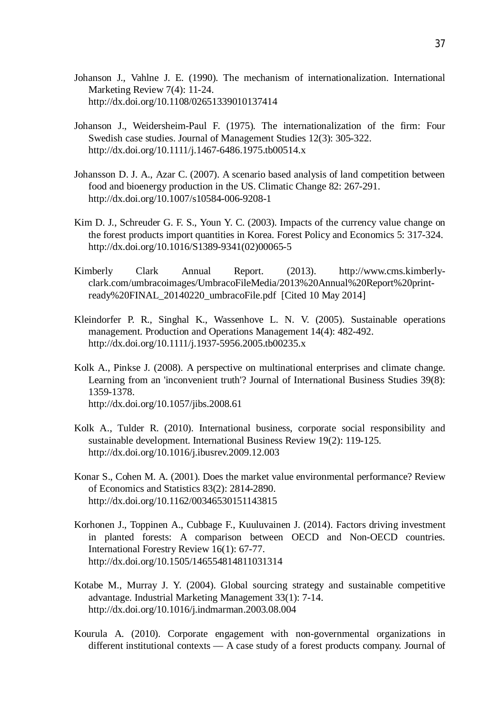- Johanson J., Vahlne J. E. (1990). The mechanism of internationalization. International Marketing Review 7(4): 11-24. http://dx.doi.org/10.1108/02651339010137414
- Johanson J., Weidersheim-Paul F. (1975). The internationalization of the firm: Four Swedish case studies. Journal of Management Studies 12(3): 305-322. http://dx.doi.org/10.1111/j.1467-6486.1975.tb00514.x
- Johansson D. J. A., Azar C. (2007). A scenario based analysis of land competition between food and bioenergy production in the US. Climatic Change 82: 267-291. http://dx.doi.org/10.1007/s10584-006-9208-1
- Kim D. J., Schreuder G. F. S., Youn Y. C. (2003). Impacts of the currency value change on the forest products import quantities in Korea. Forest Policy and Economics 5: 317-324. http://dx.doi.org/10.1016/S1389-9341(02)00065-5
- Kimberly Clark Annual Report. (2013). http://www.cms.kimberlyclark.com/umbracoimages/UmbracoFileMedia/2013%20Annual%20Report%20printready%20FINAL\_20140220\_umbracoFile.pdf [Cited 10 May 2014]
- Kleindorfer P. R., Singhal K., Wassenhove L. N. V. (2005). Sustainable operations management. Production and Operations Management 14(4): 482-492. http://dx.doi.org/10.1111/j.1937-5956.2005.tb00235.x
- Kolk A., Pinkse J. (2008). A perspective on multinational enterprises and climate change. Learning from an 'inconvenient truth'? Journal of International Business Studies 39(8): 1359-1378. http://dx.doi.org/10.1057/jibs.2008.61
- Kolk A., Tulder R. (2010). International business, corporate social responsibility and
- sustainable development. International Business Review 19(2): 119-125. http://dx.doi.org/10.1016/j.ibusrev.2009.12.003
- Konar S., Cohen M. A. (2001). Does the market value environmental performance? Review of Economics and Statistics 83(2): 2814-2890. http://dx.doi.org/10.1162/00346530151143815
- Korhonen J., Toppinen A., Cubbage F., Kuuluvainen J. (2014). Factors driving investment in planted forests: A comparison between OECD and Non-OECD countries. International Forestry Review 16(1): 67-77. http://dx.doi.org/10.1505/146554814811031314
- Kotabe M., Murray J. Y. (2004). Global sourcing strategy and sustainable competitive advantage. Industrial Marketing Management 33(1): 7-14. http://dx.doi.org/10.1016/j.indmarman.2003.08.004
- Kourula A. (2010). Corporate engagement with non-governmental organizations in different institutional contexts — A case study of a forest products company. Journal of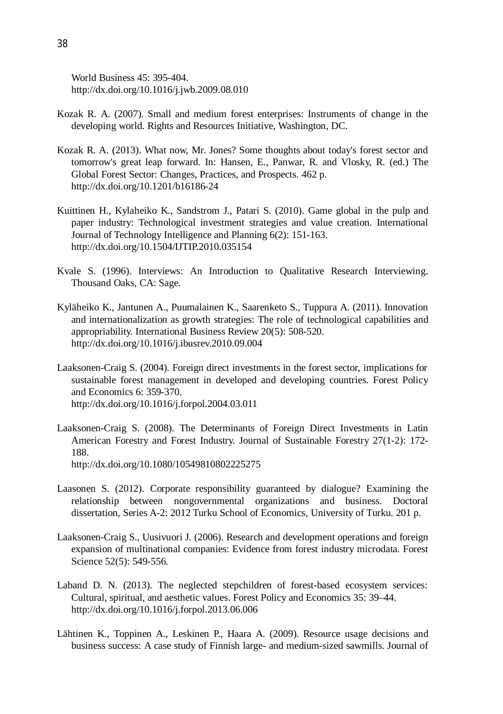World Business 45: 395-404. http://dx.doi.org/10.1016/j.jwb.2009.08.010

- Kozak R. A. (2007). Small and medium forest enterprises: Instruments of change in the developing world. Rights and Resources Initiative, Washington, DC.
- Kozak R. A. (2013). What now, Mr. Jones? Some thoughts about today's forest sector and tomorrow's great leap forward. In: Hansen, E., Panwar, R. and Vlosky, R. (ed.) The Global Forest Sector: Changes, Practices, and Prospects. 462 p. http://dx.doi.org/10.1201/b16186-24
- Kuittinen H., Kylaheiko K., Sandstrom J., Patari S. (2010). Game global in the pulp and paper industry: Technological investment strategies and value creation. International Journal of Technology Intelligence and Planning 6(2): 151-163. http://dx.doi.org/10.1504/IJTIP.2010.035154
- Kvale S. (1996). Interviews: An Introduction to Qualitative Research Interviewing. Thousand Oaks, CA: Sage.
- Kyläheiko K., Jantunen A., Puumalainen K., Saarenketo S., Tuppura A. (2011). Innovation and internationalization as growth strategies: The role of technological capabilities and appropriability. International Business Review 20(5): 508-520. http://dx.doi.org/10.1016/j.ibusrev.2010.09.004
- Laaksonen-Craig S. (2004). Foreign direct investments in the forest sector, implications for sustainable forest management in developed and developing countries. Forest Policy and Economics 6: 359-370. http://dx.doi.org/10.1016/j.forpol.2004.03.011
- Laaksonen-Craig S. (2008). The Determinants of Foreign Direct Investments in Latin American Forestry and Forest Industry. Journal of Sustainable Forestry 27(1-2): 172- 188. http://dx.doi.org/10.1080/10549810802225275
- Laasonen S. (2012). Corporate responsibility guaranteed by dialogue? Examining the relationship between nongovernmental organizations and business. Doctoral dissertation, Series A-2: 2012 Turku School of Economics, University of Turku. 201 p.
- Laaksonen-Craig S., Uusivuori J. (2006). Research and development operations and foreign expansion of multinational companies: Evidence from forest industry microdata. Forest Science 52(5): 549-556.
- Laband D. N. (2013). The neglected stepchildren of forest-based ecosystem services: Cultural, spiritual, and aesthetic values. Forest Policy and Economics 35: 39–44. http://dx.doi.org/10.1016/j.forpol.2013.06.006
- Lähtinen K., Toppinen A., Leskinen P., Haara A. (2009). Resource usage decisions and business success: A case study of Finnish large- and medium-sized sawmills. Journal of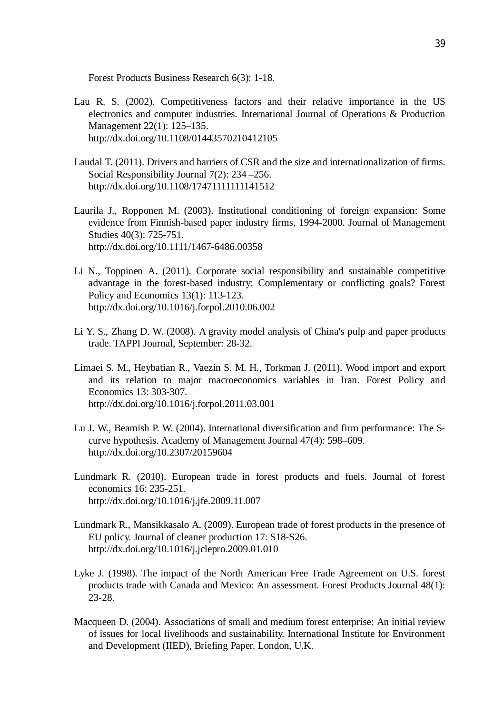Forest Products Business Research 6(3): 1-18.

- Lau R. S. (2002). Competitiveness factors and their relative importance in the US electronics and computer industries. International Journal of Operations & Production Management 22(1): 125–135. http://dx.doi.org/10.1108/01443570210412105
- Laudal T. (2011). Drivers and barriers of CSR and the size and internationalization of firms. Social Responsibility Journal 7(2): 234 –256. http://dx.doi.org/10.1108/17471111111141512
- Laurila J., Ropponen M. (2003). Institutional conditioning of foreign expansion: Some evidence from Finnish-based paper industry firms, 1994-2000. Journal of Management Studies 40(3): 725-751. http://dx.doi.org/10.1111/1467-6486.00358
- Li N., Toppinen A. (2011). Corporate social responsibility and sustainable competitive advantage in the forest-based industry: Complementary or conflicting goals? Forest Policy and Economics 13(1): 113-123. http://dx.doi.org/10.1016/j.forpol.2010.06.002
- Li Y. S., Zhang D. W. (2008). A gravity model analysis of China's pulp and paper products trade. TAPPI Journal, September: 28-32.
- Limaei S. M., Heybatian R., Vaezin S. M. H., Torkman J. (2011). Wood import and export and its relation to major macroeconomics variables in Iran. Forest Policy and Economics 13: 303-307. http://dx.doi.org/10.1016/j.forpol.2011.03.001
- Lu J. W., Beamish P. W. (2004). International diversification and firm performance: The Scurve hypothesis. Academy of Management Journal 47(4): 598–609. http://dx.doi.org/10.2307/20159604
- Lundmark R. (2010). European trade in forest products and fuels. Journal of forest economics 16: 235-251. http://dx.doi.org/10.1016/j.jfe.2009.11.007
- Lundmark R., Mansikkasalo A. (2009). European trade of forest products in the presence of EU policy. Journal of cleaner production 17: S18-S26. http://dx.doi.org/10.1016/j.jclepro.2009.01.010
- Lyke J. (1998). The impact of the North American Free Trade Agreement on U.S. forest products trade with Canada and Mexico: An assessment. Forest Products Journal 48(1): 23-28.
- Macqueen D. (2004). Associations of small and medium forest enterprise: An initial review of issues for local livelihoods and sustainability. International Institute for Environment and Development (IIED), Briefing Paper. London, U.K.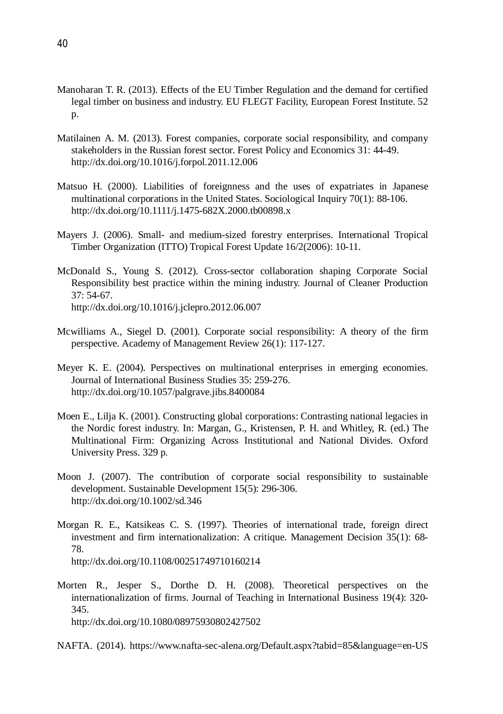- Manoharan T. R. (2013). Effects of the EU Timber Regulation and the demand for certified legal timber on business and industry. EU FLEGT Facility, European Forest Institute. 52 p.
- Matilainen A. M. (2013). Forest companies, corporate social responsibility, and company stakeholders in the Russian forest sector. Forest Policy and Economics 31: 44-49. http://dx.doi.org/10.1016/j.forpol.2011.12.006
- Matsuo H. (2000). Liabilities of foreignness and the uses of expatriates in Japanese multinational corporations in the United States. Sociological Inquiry 70(1): 88-106. http://dx.doi.org/10.1111/j.1475-682X.2000.tb00898.x
- Mayers J. (2006). Small- and medium-sized forestry enterprises. International Tropical Timber Organization (ITTO) Tropical Forest Update 16/2(2006): 10-11.
- McDonald S., Young S. (2012). Cross-sector collaboration shaping Corporate Social Responsibility best practice within the mining industry. Journal of Cleaner Production 37: 54-67. http://dx.doi.org/10.1016/j.jclepro.2012.06.007
- Mcwilliams A., Siegel D. (2001). Corporate social responsibility: A theory of the firm perspective. Academy of Management Review 26(1): 117-127.
- Meyer K. E. (2004). Perspectives on multinational enterprises in emerging economies. Journal of International Business Studies 35: 259-276. http://dx.doi.org/10.1057/palgrave.jibs.8400084
- Moen E., Lilja K. (2001). Constructing global corporations: Contrasting national legacies in the Nordic forest industry. In: Margan, G., Kristensen, P. H. and Whitley, R. (ed.) The Multinational Firm: Organizing Across Institutional and National Divides. Oxford University Press. 329 p.
- Moon J. (2007). The contribution of corporate social responsibility to sustainable development. Sustainable Development 15(5): 296-306. http://dx.doi.org/10.1002/sd.346
- Morgan R. E., Katsikeas C. S. (1997). Theories of international trade, foreign direct investment and firm internationalization: A critique. Management Decision 35(1): 68- 78. http://dx.doi.org/10.1108/00251749710160214
- Morten R., Jesper S., Dorthe D. H. (2008). Theoretical perspectives on the internationalization of firms. Journal of Teaching in International Business 19(4): 320- 345. http://dx.doi.org/10.1080/08975930802427502

NAFTA. (2014). https://www.nafta-sec-alena.org/Default.aspx?tabid=85&language=en-US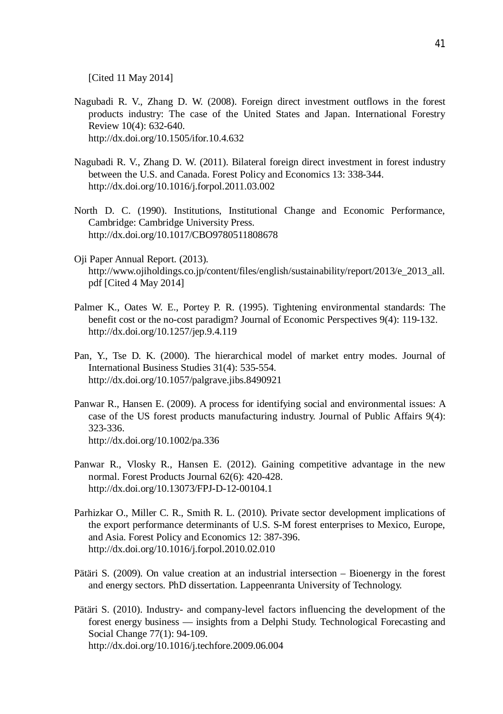[Cited 11 May 2014]

- Nagubadi R. V., Zhang D. W. (2008). Foreign direct investment outflows in the forest products industry: The case of the United States and Japan. International Forestry Review 10(4): 632-640. http://dx.doi.org/10.1505/ifor.10.4.632
- Nagubadi R. V., Zhang D. W. (2011). Bilateral foreign direct investment in forest industry between the U.S. and Canada. Forest Policy and Economics 13: 338-344. http://dx.doi.org/10.1016/j.forpol.2011.03.002
- North D. C. (1990). Institutions, Institutional Change and Economic Performance, Cambridge: Cambridge University Press. http://dx.doi.org/10.1017/CBO9780511808678
- Oji Paper Annual Report. (2013). http://www.ojiholdings.co.jp/content/files/english/sustainability/report/2013/e\_2013\_all. pdf [Cited 4 May 2014]
- Palmer K., Oates W. E., Portey P. R. (1995). Tightening environmental standards: The benefit cost or the no-cost paradigm? Journal of Economic Perspectives 9(4): 119-132. http://dx.doi.org/10.1257/jep.9.4.119
- Pan, Y., Tse D. K. (2000). The hierarchical model of market entry modes. Journal of International Business Studies 31(4): 535-554. http://dx.doi.org/10.1057/palgrave.jibs.8490921
- Panwar R., Hansen E. (2009). A process for identifying social and environmental issues: A case of the US forest products manufacturing industry. Journal of Public Affairs 9(4): 323-336. http://dx.doi.org/10.1002/pa.336
- Panwar R., Vlosky R., Hansen E. (2012). Gaining competitive advantage in the new normal. Forest Products Journal 62(6): 420-428. http://dx.doi.org/10.13073/FPJ-D-12-00104.1
- Parhizkar O., Miller C. R., Smith R. L. (2010). Private sector development implications of the export performance determinants of U.S. S-M forest enterprises to Mexico, Europe, and Asia. Forest Policy and Economics 12: 387-396. http://dx.doi.org/10.1016/j.forpol.2010.02.010
- Pätäri S. (2009). On value creation at an industrial intersection Bioenergy in the forest and energy sectors. PhD dissertation. Lappeenranta University of Technology.
- Pätäri S. (2010). Industry- and company-level factors influencing the development of the forest energy business — insights from a Delphi Study. Technological Forecasting and Social Change 77(1): 94-109. http://dx.doi.org/10.1016/j.techfore.2009.06.004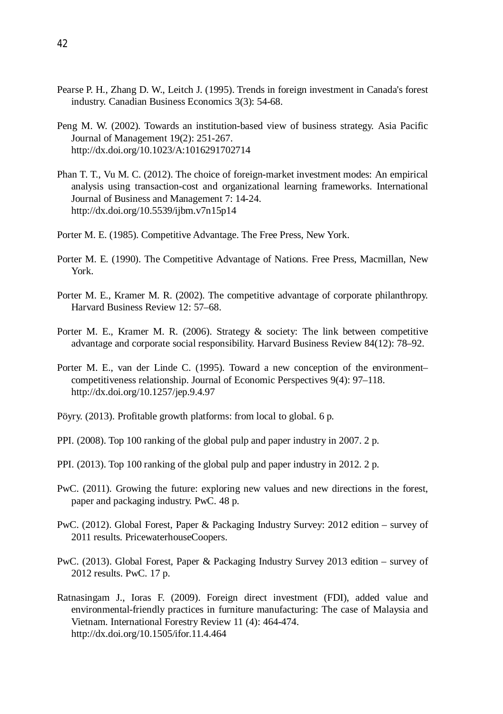- Pearse P. H., Zhang D. W., Leitch J. (1995). Trends in foreign investment in Canada's forest industry. Canadian Business Economics 3(3): 54-68.
- Peng M. W. (2002). Towards an institution-based view of business strategy. Asia Pacific Journal of Management 19(2): 251-267. http://dx.doi.org/10.1023/A:1016291702714
- Phan T. T., Vu M. C. (2012). The choice of foreign-market investment modes: An empirical analysis using transaction-cost and organizational learning frameworks. International Journal of Business and Management 7: 14-24. http://dx.doi.org/10.5539/ijbm.v7n15p14
- Porter M. E. (1985). Competitive Advantage. The Free Press, New York.
- Porter M. E. (1990). The Competitive Advantage of Nations. Free Press, Macmillan, New York.
- Porter M. E., Kramer M. R. (2002). The competitive advantage of corporate philanthropy. Harvard Business Review 12: 57–68.
- Porter M. E., Kramer M. R. (2006). Strategy & society: The link between competitive advantage and corporate social responsibility. Harvard Business Review 84(12): 78–92.
- Porter M. E., van der Linde C. (1995). Toward a new conception of the environment– competitiveness relationship. Journal of Economic Perspectives 9(4): 97–118. http://dx.doi.org/10.1257/jep.9.4.97
- Pöyry. (2013). Profitable growth platforms: from local to global. 6 p.
- PPI. (2008). Top 100 ranking of the global pulp and paper industry in 2007. 2 p.
- PPI. (2013). Top 100 ranking of the global pulp and paper industry in 2012. 2 p.
- PwC. (2011). Growing the future: exploring new values and new directions in the forest, paper and packaging industry. PwC. 48 p.
- PwC. (2012). Global Forest, Paper & Packaging Industry Survey: 2012 edition survey of 2011 results. PricewaterhouseCoopers.
- PwC. (2013). Global Forest, Paper & Packaging Industry Survey 2013 edition survey of 2012 results. PwC. 17 p.
- Ratnasingam J., Ioras F. (2009). Foreign direct investment (FDI), added value and environmental-friendly practices in furniture manufacturing: The case of Malaysia and Vietnam. International Forestry Review 11 (4): 464-474. http://dx.doi.org/10.1505/ifor.11.4.464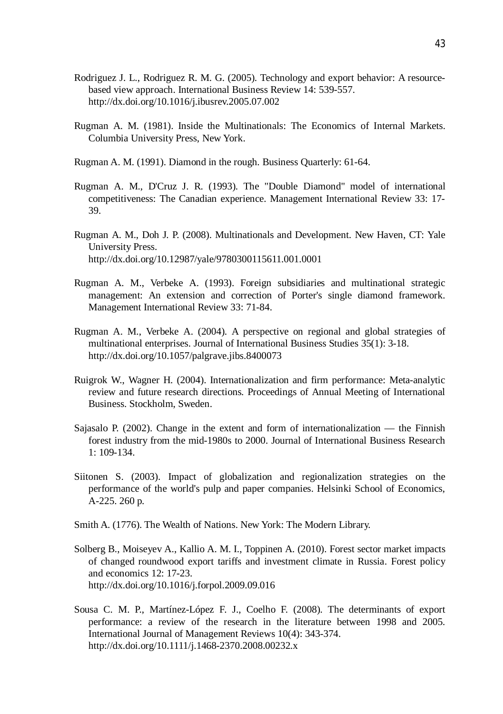- Rodriguez J. L., Rodriguez R. M. G. (2005). Technology and export behavior: A resourcebased view approach. International Business Review 14: 539-557. http://dx.doi.org/10.1016/j.ibusrev.2005.07.002
- Rugman A. M. (1981). Inside the Multinationals: The Economics of Internal Markets. Columbia University Press, New York.
- Rugman A. M. (1991). Diamond in the rough. Business Quarterly: 61-64.
- Rugman A. M., D'Cruz J. R. (1993). The "Double Diamond" model of international competitiveness: The Canadian experience. Management International Review 33: 17- 39.
- Rugman A. M., Doh J. P. (2008). Multinationals and Development. New Haven, CT: Yale University Press. http://dx.doi.org/10.12987/yale/9780300115611.001.0001
- Rugman A. M., Verbeke A. (1993). Foreign subsidiaries and multinational strategic management: An extension and correction of Porter's single diamond framework. Management International Review 33: 71-84.
- Rugman A. M., Verbeke A. (2004). A perspective on regional and global strategies of multinational enterprises. Journal of International Business Studies 35(1): 3-18. http://dx.doi.org/10.1057/palgrave.jibs.8400073
- Ruigrok W., Wagner H. (2004). Internationalization and firm performance: Meta-analytic review and future research directions. Proceedings of Annual Meeting of International Business. Stockholm, Sweden.
- Sajasalo P. (2002). Change in the extent and form of internationalization the Finnish forest industry from the mid-1980s to 2000. Journal of International Business Research 1: 109-134.
- Siitonen S. (2003). Impact of globalization and regionalization strategies on the performance of the world's pulp and paper companies. Helsinki School of Economics, A-225. 260 p.
- Smith A. (1776). The Wealth of Nations. New York: The Modern Library.
- Solberg B., Moiseyev A., Kallio A. M. I., Toppinen A. (2010). Forest sector market impacts of changed roundwood export tariffs and investment climate in Russia. Forest policy and economics 12: 17-23. http://dx.doi.org/10.1016/j.forpol.2009.09.016
- Sousa C. M. P., Martínez-López F. J., Coelho F. (2008). The determinants of export performance: a review of the research in the literature between 1998 and 2005. International Journal of Management Reviews 10(4): 343-374. http://dx.doi.org/10.1111/j.1468-2370.2008.00232.x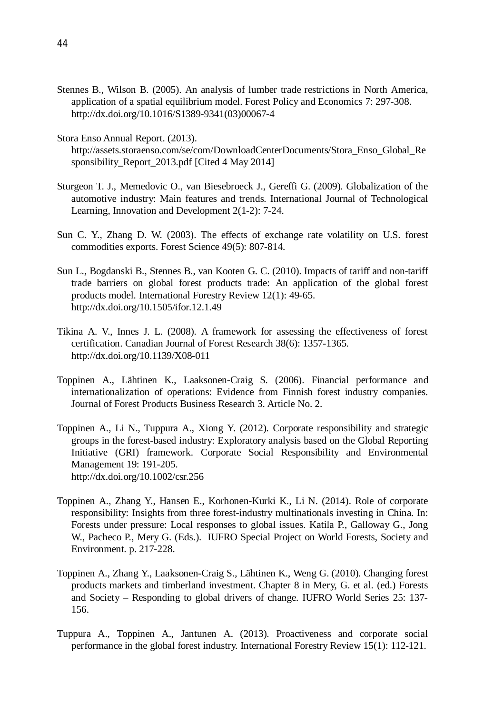- Stennes B., Wilson B. (2005). An analysis of lumber trade restrictions in North America, application of a spatial equilibrium model. Forest Policy and Economics 7: 297-308. http://dx.doi.org/10.1016/S1389-9341(03)00067-4
- Stora Enso Annual Report. (2013).
	- http://assets.storaenso.com/se/com/DownloadCenterDocuments/Stora\_Enso\_Global\_Re sponsibility\_Report\_2013.pdf [Cited 4 May 2014]
- Sturgeon T. J., Memedovic O., van Biesebroeck J., Gereffi G. (2009). Globalization of the automotive industry: Main features and trends. International Journal of Technological Learning, Innovation and Development 2(1-2): 7-24.
- Sun C. Y., Zhang D. W. (2003). The effects of exchange rate volatility on U.S. forest commodities exports. Forest Science 49(5): 807-814.
- Sun L., Bogdanski B., Stennes B., van Kooten G. C. (2010). Impacts of tariff and non-tariff trade barriers on global forest products trade: An application of the global forest products model. International Forestry Review 12(1): 49-65. http://dx.doi.org/10.1505/ifor.12.1.49
- Tikina A. V., Innes J. L. (2008). A framework for assessing the effectiveness of forest certification. Canadian Journal of Forest Research 38(6): 1357-1365. http://dx.doi.org/10.1139/X08-011
- Toppinen A., Lähtinen K., Laaksonen-Craig S. (2006). Financial performance and internationalization of operations: Evidence from Finnish forest industry companies. Journal of Forest Products Business Research 3. Article No. 2.
- Toppinen A., Li N., Tuppura A., Xiong Y. (2012). Corporate responsibility and strategic groups in the forest-based industry: Exploratory analysis based on the Global Reporting Initiative (GRI) framework. Corporate Social Responsibility and Environmental Management 19: 191-205. http://dx.doi.org/10.1002/csr.256
- Toppinen A., Zhang Y., Hansen E., Korhonen-Kurki K., Li N. (2014). Role of corporate responsibility: Insights from three forest-industry multinationals investing in China. In: Forests under pressure: Local responses to global issues. Katila P., Galloway G., Jong W., Pacheco P., Mery G. (Eds.). IUFRO Special Project on World Forests, Society and Environment. p. 217-228.
- Toppinen A., Zhang Y., Laaksonen-Craig S., Lähtinen K., Weng G. (2010). Changing forest products markets and timberland investment. Chapter 8 in Mery, G. et al. (ed.) Forests and Society – Responding to global drivers of change. IUFRO World Series 25: 137- 156.
- Tuppura A., Toppinen A., Jantunen A. (2013). Proactiveness and corporate social performance in the global forest industry. International Forestry Review 15(1): 112-121.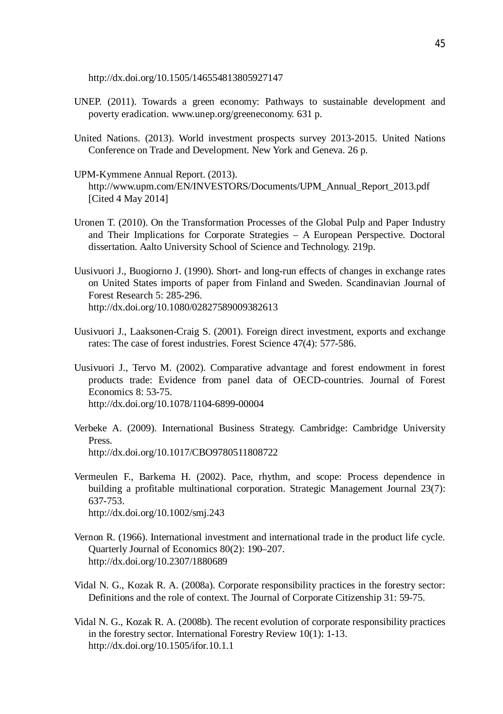http://dx.doi.org/10.1505/146554813805927147

- UNEP. (2011). Towards a green economy: Pathways to sustainable development and poverty eradication. www.unep.org/greeneconomy. 631 p.
- United Nations. (2013). World investment prospects survey 2013-2015. United Nations Conference on Trade and Development. New York and Geneva. 26 p.
- UPM-Kymmene Annual Report. (2013). http://www.upm.com/EN/INVESTORS/Documents/UPM\_Annual\_Report\_2013.pdf [Cited 4 May 2014]
- Uronen T. (2010). On the Transformation Processes of the Global Pulp and Paper Industry and Their Implications for Corporate Strategies – A European Perspective. Doctoral dissertation. Aalto University School of Science and Technology. 219p.
- Uusivuori J., Buogiorno J. (1990). Short- and long-run effects of changes in exchange rates on United States imports of paper from Finland and Sweden. Scandinavian Journal of Forest Research 5: 285-296. http://dx.doi.org/10.1080/02827589009382613
- Uusivuori J., Laaksonen-Craig S. (2001). Foreign direct investment, exports and exchange rates: The case of forest industries. Forest Science 47(4): 577-586.
- Uusivuori J., Tervo M. (2002). Comparative advantage and forest endowment in forest products trade: Evidence from panel data of OECD-countries. Journal of Forest Economics 8: 53-75. http://dx.doi.org/10.1078/1104-6899-00004
- Verbeke A. (2009). International Business Strategy. Cambridge: Cambridge University Press. http://dx.doi.org/10.1017/CBO9780511808722
- Vermeulen F., Barkema H. (2002). Pace, rhythm, and scope: Process dependence in building a profitable multinational corporation. Strategic Management Journal 23(7): 637-753. http://dx.doi.org/10.1002/smj.243
- Vernon R. (1966). International investment and international trade in the product life cycle. Quarterly Journal of Economics 80(2): 190–207. http://dx.doi.org/10.2307/1880689
- Vidal N. G., Kozak R. A. (2008a). Corporate responsibility practices in the forestry sector: Definitions and the role of context. The Journal of Corporate Citizenship 31: 59-75.
- Vidal N. G., Kozak R. A. (2008b). The recent evolution of corporate responsibility practices in the forestry sector. International Forestry Review 10(1): 1-13. http://dx.doi.org/10.1505/ifor.10.1.1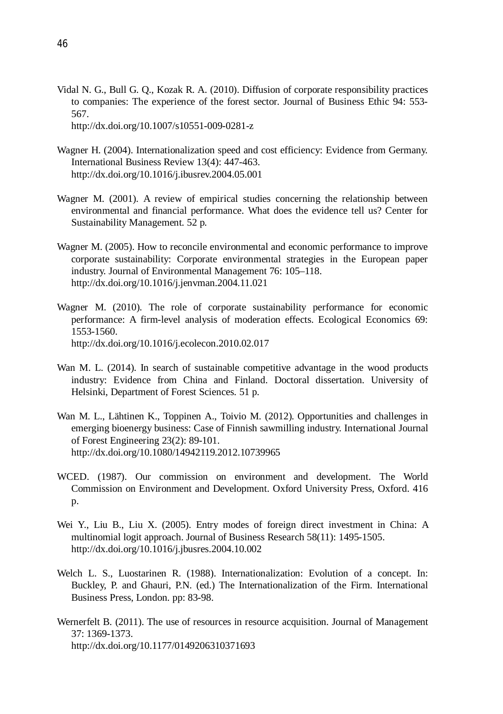- Vidal N. G., Bull G. Q., Kozak R. A. (2010). Diffusion of corporate responsibility practices to companies: The experience of the forest sector. Journal of Business Ethic 94: 553- 567. http://dx.doi.org/10.1007/s10551-009-0281-z
- Wagner H. (2004). Internationalization speed and cost efficiency: Evidence from Germany. International Business Review 13(4): 447-463. http://dx.doi.org/10.1016/j.ibusrev.2004.05.001
- Wagner M. (2001). A review of empirical studies concerning the relationship between environmental and financial performance. What does the evidence tell us? Center for Sustainability Management. 52 p.
- Wagner M. (2005). How to reconcile environmental and economic performance to improve corporate sustainability: Corporate environmental strategies in the European paper industry. Journal of Environmental Management 76: 105–118. http://dx.doi.org/10.1016/j.jenvman.2004.11.021
- Wagner M. (2010). The role of corporate sustainability performance for economic performance: A firm-level analysis of moderation effects. Ecological Economics 69: 1553-1560. http://dx.doi.org/10.1016/j.ecolecon.2010.02.017
- Wan M. L. (2014). In search of sustainable competitive advantage in the wood products industry: Evidence from China and Finland. Doctoral dissertation. University of Helsinki, Department of Forest Sciences. 51 p.
- Wan M. L., Lähtinen K., Toppinen A., Toivio M. (2012). Opportunities and challenges in emerging bioenergy business: Case of Finnish sawmilling industry. International Journal of Forest Engineering 23(2): 89-101. http://dx.doi.org/10.1080/14942119.2012.10739965
- WCED. (1987). Our commission on environment and development. The World Commission on Environment and Development. Oxford University Press, Oxford. 416 p.
- Wei Y., Liu B., Liu X. (2005). Entry modes of foreign direct investment in China: A multinomial logit approach. Journal of Business Research 58(11): 1495-1505. http://dx.doi.org/10.1016/j.jbusres.2004.10.002
- Welch L. S., Luostarinen R. (1988). Internationalization: Evolution of a concept. In: Buckley, P. and Ghauri, P.N. (ed.) The Internationalization of the Firm. International Business Press, London. pp: 83-98.
- Wernerfelt B. (2011). The use of resources in resource acquisition. Journal of Management 37: 1369-1373. http://dx.doi.org/10.1177/0149206310371693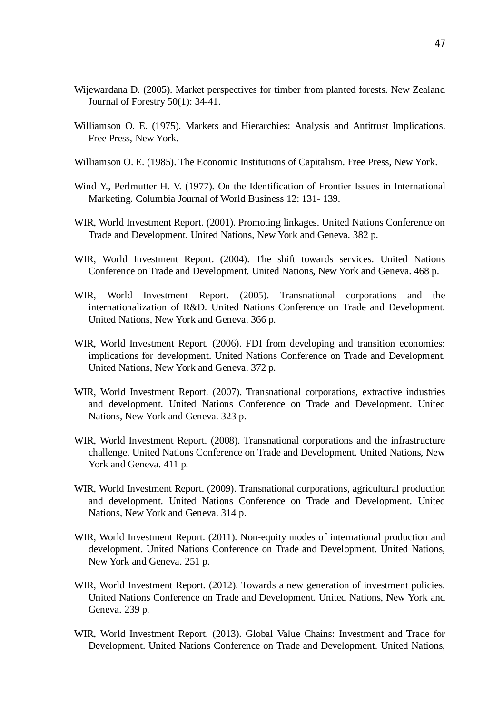- Wijewardana D. (2005). Market perspectives for timber from planted forests. New Zealand Journal of Forestry 50(1): 34-41.
- Williamson O. E. (1975). Markets and Hierarchies: Analysis and Antitrust Implications. Free Press, New York.
- Williamson O. E. (1985). The Economic Institutions of Capitalism. Free Press, New York.
- Wind Y., Perlmutter H. V. (1977). On the Identification of Frontier Issues in International Marketing. Columbia Journal of World Business 12: 131- 139.
- WIR, World Investment Report. (2001). Promoting linkages. United Nations Conference on Trade and Development. United Nations, New York and Geneva. 382 p.
- WIR, World Investment Report. (2004). The shift towards services. United Nations Conference on Trade and Development. United Nations, New York and Geneva. 468 p.
- WIR, World Investment Report. (2005). Transnational corporations and the internationalization of R&D. United Nations Conference on Trade and Development. United Nations, New York and Geneva. 366 p.
- WIR, World Investment Report. (2006). FDI from developing and transition economies: implications for development. United Nations Conference on Trade and Development. United Nations, New York and Geneva. 372 p.
- WIR, World Investment Report. (2007). Transnational corporations, extractive industries and development. United Nations Conference on Trade and Development. United Nations, New York and Geneva. 323 p.
- WIR, World Investment Report. (2008). Transnational corporations and the infrastructure challenge. United Nations Conference on Trade and Development. United Nations, New York and Geneva. 411 p.
- WIR, World Investment Report. (2009). Transnational corporations, agricultural production and development. United Nations Conference on Trade and Development. United Nations, New York and Geneva. 314 p.
- WIR, World Investment Report. (2011). Non-equity modes of international production and development. United Nations Conference on Trade and Development. United Nations, New York and Geneva. 251 p.
- WIR, World Investment Report. (2012). Towards a new generation of investment policies. United Nations Conference on Trade and Development. United Nations, New York and Geneva. 239 p.
- WIR, World Investment Report. (2013). Global Value Chains: Investment and Trade for Development. United Nations Conference on Trade and Development. United Nations,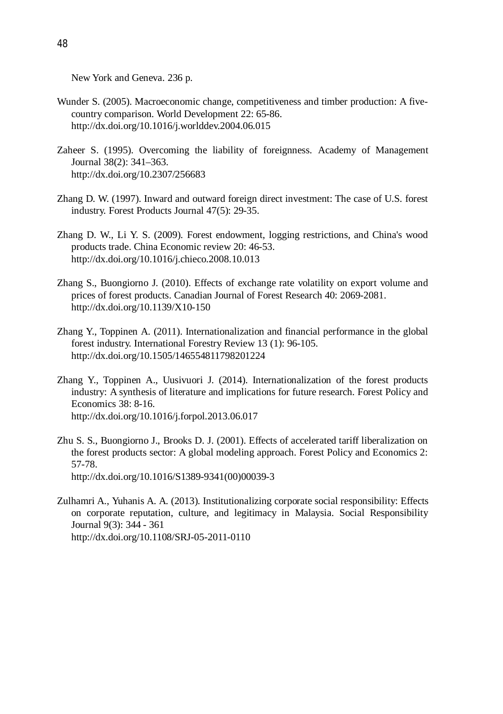New York and Geneva. 236 p.

- Wunder S. (2005). Macroeconomic change, competitiveness and timber production: A fivecountry comparison. World Development 22: 65-86. http://dx.doi.org/10.1016/j.worlddev.2004.06.015
- Zaheer S. (1995). Overcoming the liability of foreignness. Academy of Management Journal 38(2): 341–363. http://dx.doi.org/10.2307/256683
- Zhang D. W. (1997). Inward and outward foreign direct investment: The case of U.S. forest industry. Forest Products Journal 47(5): 29-35.
- Zhang D. W., Li Y. S. (2009). Forest endowment, logging restrictions, and China's wood products trade. China Economic review 20: 46-53. http://dx.doi.org/10.1016/j.chieco.2008.10.013
- Zhang S., Buongiorno J. (2010). Effects of exchange rate volatility on export volume and prices of forest products. Canadian Journal of Forest Research 40: 2069-2081. http://dx.doi.org/10.1139/X10-150
- Zhang Y., Toppinen A. (2011). Internationalization and financial performance in the global forest industry. International Forestry Review 13 (1): 96-105. http://dx.doi.org/10.1505/146554811798201224
- Zhang Y., Toppinen A., Uusivuori J. (2014). Internationalization of the forest products industry: A synthesis of literature and implications for future research. Forest Policy and Economics 38: 8-16. http://dx.doi.org/10.1016/j.forpol.2013.06.017
- Zhu S. S., Buongiorno J., Brooks D. J. (2001). Effects of accelerated tariff liberalization on the forest products sector: A global modeling approach. Forest Policy and Economics 2: 57-78. http://dx.doi.org/10.1016/S1389-9341(00)00039-3
- Zulhamri A., Yuhanis A. A. (2013). Institutionalizing corporate social responsibility: Effects on corporate reputation, culture, and legitimacy in Malaysia. Social Responsibility Journal 9(3): 344 - 361 http://dx.doi.org/10.1108/SRJ-05-2011-0110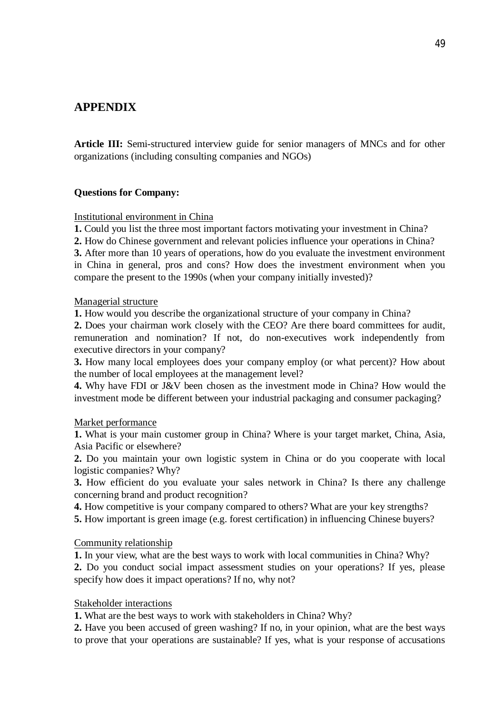# **APPENDIX**

**Article III:** Semi-structured interview guide for senior managers of MNCs and for other organizations (including consulting companies and NGOs)

# **Questions for Company:**

# Institutional environment in China

**1.** Could you list the three most important factors motivating your investment in China?

**2.** How do Chinese government and relevant policies influence your operations in China?

**3.** After more than 10 years of operations, how do you evaluate the investment environment in China in general, pros and cons? How does the investment environment when you compare the present to the 1990s (when your company initially invested)?

#### Managerial structure

**1.** How would you describe the organizational structure of your company in China?

**2.** Does your chairman work closely with the CEO? Are there board committees for audit, remuneration and nomination? If not, do non-executives work independently from executive directors in your company?

**3.** How many local employees does your company employ (or what percent)? How about the number of local employees at the management level?

**4.** Why have FDI or J&V been chosen as the investment mode in China? How would the investment mode be different between your industrial packaging and consumer packaging?

# Market performance

**1.** What is your main customer group in China? Where is your target market, China, Asia, Asia Pacific or elsewhere?

**2.** Do you maintain your own logistic system in China or do you cooperate with local logistic companies? Why?

**3.** How efficient do you evaluate your sales network in China? Is there any challenge concerning brand and product recognition?

**4.** How competitive is your company compared to others? What are your key strengths?

**5.** How important is green image (e.g. forest certification) in influencing Chinese buyers?

# Community relationship

**1.** In your view, what are the best ways to work with local communities in China? Why? **2.** Do you conduct social impact assessment studies on your operations? If yes, please specify how does it impact operations? If no, why not?

# Stakeholder interactions

**1.** What are the best ways to work with stakeholders in China? Why?

**2.** Have you been accused of green washing? If no, in your opinion, what are the best ways to prove that your operations are sustainable? If yes, what is your response of accusations